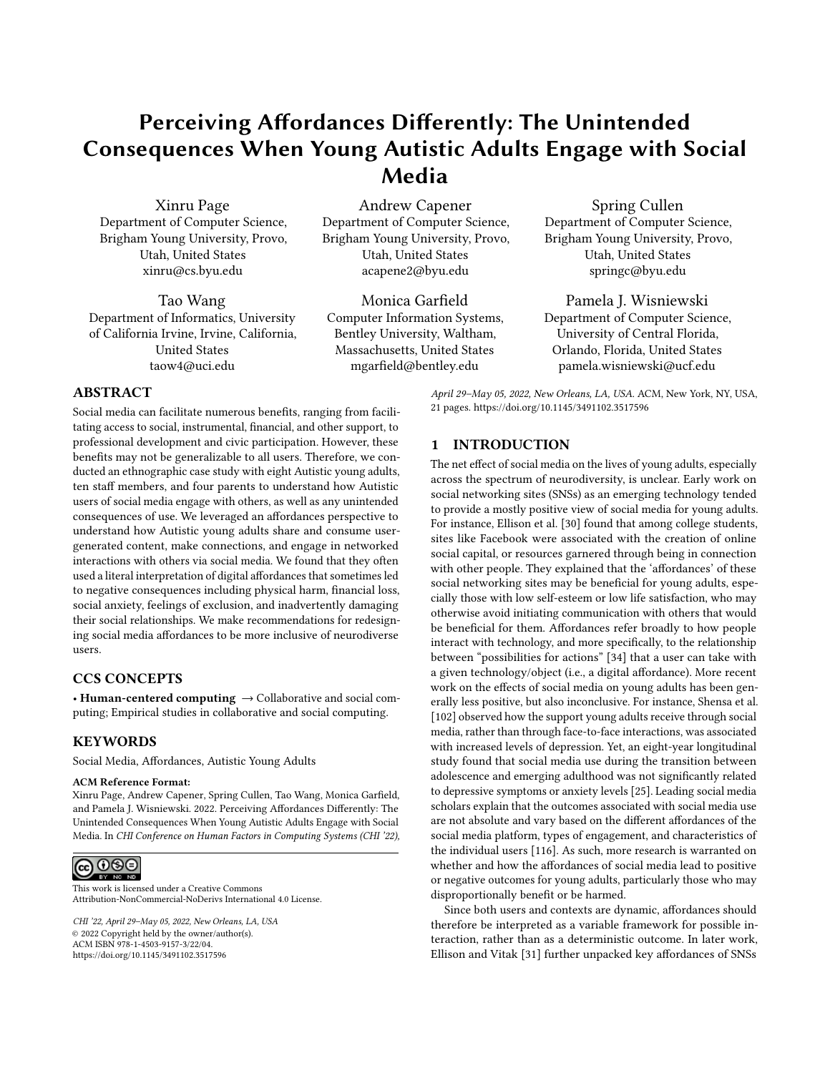# Perceiving Affordances Differently: The Unintended Consequences When Young Autistic Adults Engage with Social Media

Xinru Page Department of Computer Science, Brigham Young University, Provo, Utah, United States xinru@cs.byu.edu

Tao Wang Department of Informatics, University of California Irvine, Irvine, California, United States taow4@uci.edu

# Andrew Capener Department of Computer Science, Brigham Young University, Provo, Utah, United States acapene2@byu.edu

Monica Garfield Computer Information Systems, Bentley University, Waltham, Massachusetts, United States mgarfield@bentley.edu

Spring Cullen Department of Computer Science, Brigham Young University, Provo, Utah, United States springc@byu.edu

# Pamela J. Wisniewski Department of Computer Science, University of Central Florida, Orlando, Florida, United States pamela.wisniewski@ucf.edu

ABSTRACT

Social media can facilitate numerous benefits, ranging from facilitating access to social, instrumental, financial, and other support, to professional development and civic participation. However, these benefits may not be generalizable to all users. Therefore, we conducted an ethnographic case study with eight Autistic young adults, ten staff members, and four parents to understand how Autistic users of social media engage with others, as well as any unintended consequences of use. We leveraged an affordances perspective to understand how Autistic young adults share and consume usergenerated content, make connections, and engage in networked interactions with others via social media. We found that they often used a literal interpretation of digital affordances that sometimes led to negative consequences including physical harm, financial loss, social anxiety, feelings of exclusion, and inadvertently damaging their social relationships. We make recommendations for redesigning social media affordances to be more inclusive of neurodiverse users.

# CCS CONCEPTS

• Human-centered computing  $\rightarrow$  Collaborative and social computing; Empirical studies in collaborative and social computing.

# **KEYWORDS**

Social Media, Affordances, Autistic Young Adults

### ACM Reference Format:

Xinru Page, Andrew Capener, Spring Cullen, Tao Wang, Monica Garfield, and Pamela J. Wisniewski. 2022. Perceiving Affordances Differently: The Unintended Consequences When Young Autistic Adults Engage with Social Media. In CHI Conference on Human Factors in Computing Systems (CHI '22),



This work is licensed under a [Creative Commons](https://creativecommons.org/licenses/by-nc-nd/4.0/) [Attribution-NonCommercial-NoDerivs International 4.0 License.](https://creativecommons.org/licenses/by-nc-nd/4.0/)

CHI '22, April 29–May 05, 2022, New Orleans, LA, USA © 2022 Copyright held by the owner/author(s). ACM ISBN 978-1-4503-9157-3/22/04. <https://doi.org/10.1145/3491102.3517596>

April 29–May 05, 2022, New Orleans, LA, USA. ACM, New York, NY, USA, [21](#page-20-0) pages.<https://doi.org/10.1145/3491102.3517596>

# 1 INTRODUCTION

The net effect of social media on the lives of young adults, especially across the spectrum of neurodiversity, is unclear. Early work on social networking sites (SNSs) as an emerging technology tended to provide a mostly positive view of social media for young adults. For instance, Ellison et al. [\[30\]](#page-18-0) found that among college students, sites like Facebook were associated with the creation of online social capital, or resources garnered through being in connection with other people. They explained that the 'affordances' of these social networking sites may be beneficial for young adults, especially those with low self-esteem or low life satisfaction, who may otherwise avoid initiating communication with others that would be beneficial for them. Affordances refer broadly to how people interact with technology, and more specifically, to the relationship between "possibilities for actions" [\[34\]](#page-18-1) that a user can take with a given technology/object (i.e., a digital affordance). More recent work on the effects of social media on young adults has been generally less positive, but also inconclusive. For instance, Shensa et al. [\[102\]](#page-19-0) observed how the support young adults receive through social media, rather than through face-to-face interactions, was associated with increased levels of depression. Yet, an eight-year longitudinal study found that social media use during the transition between adolescence and emerging adulthood was not significantly related to depressive symptoms or anxiety levels [\[25\]](#page-18-2). Leading social media scholars explain that the outcomes associated with social media use are not absolute and vary based on the different affordances of the social media platform, types of engagement, and characteristics of the individual users [\[116\]](#page-20-1). As such, more research is warranted on whether and how the affordances of social media lead to positive or negative outcomes for young adults, particularly those who may disproportionally benefit or be harmed.

Since both users and contexts are dynamic, affordances should therefore be interpreted as a variable framework for possible interaction, rather than as a deterministic outcome. In later work, Ellison and Vitak [\[31\]](#page-18-3) further unpacked key affordances of SNSs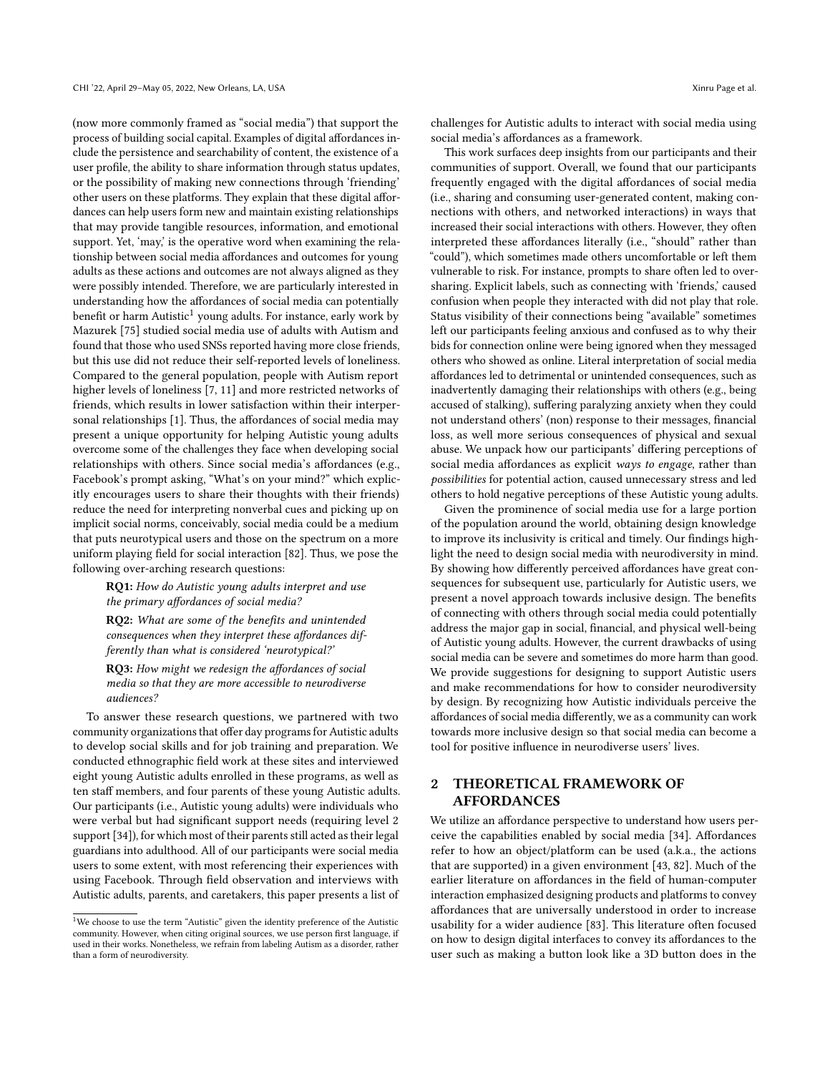(now more commonly framed as "social media") that support the process of building social capital. Examples of digital affordances include the persistence and searchability of content, the existence of a user profile, the ability to share information through status updates, or the possibility of making new connections through 'friending' other users on these platforms. They explain that these digital affordances can help users form new and maintain existing relationships that may provide tangible resources, information, and emotional support. Yet, 'may,' is the operative word when examining the relationship between social media affordances and outcomes for young adults as these actions and outcomes are not always aligned as they were possibly intended. Therefore, we are particularly interested in understanding how the affordances of social media can potentially benefit or harm Autistic<sup>[1](#page-1-0)</sup> young adults. For instance, early work by Mazurek [\[75\]](#page-19-1) studied social media use of adults with Autism and found that those who used SNSs reported having more close friends, but this use did not reduce their self-reported levels of loneliness. Compared to the general population, people with Autism report higher levels of loneliness [\[7,](#page-17-0) [11\]](#page-17-1) and more restricted networks of friends, which results in lower satisfaction within their interpersonal relationships [\[1\]](#page-17-2). Thus, the affordances of social media may present a unique opportunity for helping Autistic young adults overcome some of the challenges they face when developing social relationships with others. Since social media's affordances (e.g., Facebook's prompt asking, "What's on your mind?" which explicitly encourages users to share their thoughts with their friends) reduce the need for interpreting nonverbal cues and picking up on implicit social norms, conceivably, social media could be a medium that puts neurotypical users and those on the spectrum on a more uniform playing field for social interaction [\[82\]](#page-19-2). Thus, we pose the following over-arching research questions:

RQ1: How do Autistic young adults interpret and use the primary affordances of social media?

RQ2: What are some of the benefits and unintended consequences when they interpret these affordances differently than what is considered 'neurotypical?'

RQ3: How might we redesign the affordances of social media so that they are more accessible to neurodiverse audiences?

To answer these research questions, we partnered with two community organizations that offer day programs for Autistic adults to develop social skills and for job training and preparation. We conducted ethnographic field work at these sites and interviewed eight young Autistic adults enrolled in these programs, as well as ten staff members, and four parents of these young Autistic adults. Our participants (i.e., Autistic young adults) were individuals who were verbal but had significant support needs (requiring level 2 support [\[34\]](#page-18-1)), for which most of their parents still acted as their legal guardians into adulthood. All of our participants were social media users to some extent, with most referencing their experiences with using Facebook. Through field observation and interviews with Autistic adults, parents, and caretakers, this paper presents a list of

challenges for Autistic adults to interact with social media using social media's affordances as a framework.

This work surfaces deep insights from our participants and their communities of support. Overall, we found that our participants frequently engaged with the digital affordances of social media (i.e., sharing and consuming user-generated content, making connections with others, and networked interactions) in ways that increased their social interactions with others. However, they often interpreted these affordances literally (i.e., "should" rather than "could"), which sometimes made others uncomfortable or left them vulnerable to risk. For instance, prompts to share often led to oversharing. Explicit labels, such as connecting with 'friends,' caused confusion when people they interacted with did not play that role. Status visibility of their connections being "available" sometimes left our participants feeling anxious and confused as to why their bids for connection online were being ignored when they messaged others who showed as online. Literal interpretation of social media affordances led to detrimental or unintended consequences, such as inadvertently damaging their relationships with others (e.g., being accused of stalking), suffering paralyzing anxiety when they could not understand others' (non) response to their messages, financial loss, as well more serious consequences of physical and sexual abuse. We unpack how our participants' differing perceptions of social media affordances as explicit ways to engage, rather than possibilities for potential action, caused unnecessary stress and led others to hold negative perceptions of these Autistic young adults.

Given the prominence of social media use for a large portion of the population around the world, obtaining design knowledge to improve its inclusivity is critical and timely. Our findings highlight the need to design social media with neurodiversity in mind. By showing how differently perceived affordances have great consequences for subsequent use, particularly for Autistic users, we present a novel approach towards inclusive design. The benefits of connecting with others through social media could potentially address the major gap in social, financial, and physical well-being of Autistic young adults. However, the current drawbacks of using social media can be severe and sometimes do more harm than good. We provide suggestions for designing to support Autistic users and make recommendations for how to consider neurodiversity by design. By recognizing how Autistic individuals perceive the affordances of social media differently, we as a community can work towards more inclusive design so that social media can become a tool for positive influence in neurodiverse users' lives.

# 2 THEORETICAL FRAMEWORK OF AFFORDANCES

We utilize an affordance perspective to understand how users perceive the capabilities enabled by social media [\[34\]](#page-18-1). Affordances refer to how an object/platform can be used (a.k.a., the actions that are supported) in a given environment [\[43,](#page-18-4) [82\]](#page-19-2). Much of the earlier literature on affordances in the field of human-computer interaction emphasized designing products and platforms to convey affordances that are universally understood in order to increase usability for a wider audience [\[83\]](#page-19-3). This literature often focused on how to design digital interfaces to convey its affordances to the user such as making a button look like a 3D button does in the

<span id="page-1-0"></span> $^{\rm 1}{\rm We}$  choose to use the term "Autistic" given the identity preference of the Autistic community. However, when citing original sources, we use person first language, if used in their works. Nonetheless, we refrain from labeling Autism as a disorder, rather than a form of neurodiversity.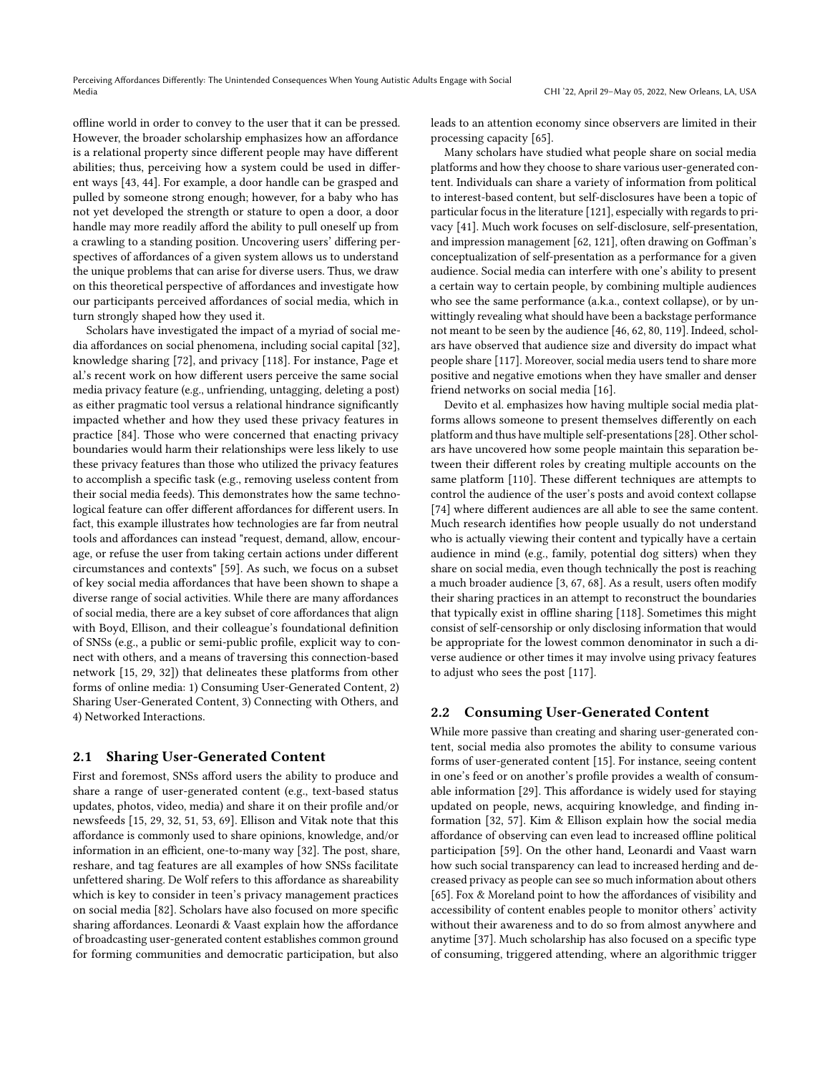offline world in order to convey to the user that it can be pressed. However, the broader scholarship emphasizes how an affordance is a relational property since different people may have different abilities; thus, perceiving how a system could be used in different ways [\[43,](#page-18-4) [44\]](#page-18-5). For example, a door handle can be grasped and pulled by someone strong enough; however, for a baby who has not yet developed the strength or stature to open a door, a door handle may more readily afford the ability to pull oneself up from a crawling to a standing position. Uncovering users' differing perspectives of affordances of a given system allows us to understand the unique problems that can arise for diverse users. Thus, we draw on this theoretical perspective of affordances and investigate how our participants perceived affordances of social media, which in turn strongly shaped how they used it.

Scholars have investigated the impact of a myriad of social media affordances on social phenomena, including social capital [\[32\]](#page-18-6), knowledge sharing [\[72\]](#page-19-4), and privacy [\[118\]](#page-20-2). For instance, Page et al.'s recent work on how different users perceive the same social media privacy feature (e.g., unfriending, untagging, deleting a post) as either pragmatic tool versus a relational hindrance significantly impacted whether and how they used these privacy features in practice [\[84\]](#page-19-5). Those who were concerned that enacting privacy boundaries would harm their relationships were less likely to use these privacy features than those who utilized the privacy features to accomplish a specific task (e.g., removing useless content from their social media feeds). This demonstrates how the same technological feature can offer different affordances for different users. In fact, this example illustrates how technologies are far from neutral tools and affordances can instead "request, demand, allow, encourage, or refuse the user from taking certain actions under different circumstances and contexts" [\[59\]](#page-18-7). As such, we focus on a subset of key social media affordances that have been shown to shape a diverse range of social activities. While there are many affordances of social media, there are a key subset of core affordances that align with Boyd, Ellison, and their colleague's foundational definition of SNSs (e.g., a public or semi-public profile, explicit way to connect with others, and a means of traversing this connection-based network [\[15,](#page-17-3) [29,](#page-18-8) [32\]](#page-18-6)) that delineates these platforms from other forms of online media: 1) Consuming User-Generated Content, 2) Sharing User-Generated Content, 3) Connecting with Others, and 4) Networked Interactions.

### 2.1 Sharing User-Generated Content

First and foremost, SNSs afford users the ability to produce and share a range of user-generated content (e.g., text-based status updates, photos, video, media) and share it on their profile and/or newsfeeds [\[15,](#page-17-3) [29,](#page-18-8) [32,](#page-18-6) [51,](#page-18-9) [53,](#page-18-10) [69\]](#page-19-6). Ellison and Vitak note that this affordance is commonly used to share opinions, knowledge, and/or information in an efficient, one-to-many way [\[32\]](#page-18-6). The post, share, reshare, and tag features are all examples of how SNSs facilitate unfettered sharing. De Wolf refers to this affordance as shareability which is key to consider in teen's privacy management practices on social media [\[82\]](#page-19-2). Scholars have also focused on more specific sharing affordances. Leonardi & Vaast explain how the affordance of broadcasting user-generated content establishes common ground for forming communities and democratic participation, but also

leads to an attention economy since observers are limited in their processing capacity [\[65\]](#page-19-7).

Many scholars have studied what people share on social media platforms and how they choose to share various user-generated content. Individuals can share a variety of information from political to interest-based content, but self-disclosures have been a topic of particular focus in the literature [\[121\]](#page-20-3), especially with regards to privacy [\[41\]](#page-18-11). Much work focuses on self-disclosure, self-presentation, and impression management [\[62,](#page-18-12) [121\]](#page-20-3), often drawing on Goffman's conceptualization of self-presentation as a performance for a given audience. Social media can interfere with one's ability to present a certain way to certain people, by combining multiple audiences who see the same performance (a.k.a., context collapse), or by unwittingly revealing what should have been a backstage performance not meant to be seen by the audience [\[46,](#page-18-13) [62,](#page-18-12) [80,](#page-19-8) [119\]](#page-20-4). Indeed, scholars have observed that audience size and diversity do impact what people share [\[117\]](#page-20-5). Moreover, social media users tend to share more positive and negative emotions when they have smaller and denser friend networks on social media [\[16\]](#page-17-4).

Devito et al. emphasizes how having multiple social media platforms allows someone to present themselves differently on each platform and thus have multiple self-presentations [\[28\]](#page-18-14). Other scholars have uncovered how some people maintain this separation between their different roles by creating multiple accounts on the same platform [\[110\]](#page-20-6). These different techniques are attempts to control the audience of the user's posts and avoid context collapse [\[74\]](#page-19-9) where different audiences are all able to see the same content. Much research identifies how people usually do not understand who is actually viewing their content and typically have a certain audience in mind (e.g., family, potential dog sitters) when they share on social media, even though technically the post is reaching a much broader audience [\[3,](#page-17-5) [67,](#page-19-10) [68\]](#page-19-11). As a result, users often modify their sharing practices in an attempt to reconstruct the boundaries that typically exist in offline sharing [\[118\]](#page-20-2). Sometimes this might consist of self-censorship or only disclosing information that would be appropriate for the lowest common denominator in such a diverse audience or other times it may involve using privacy features to adjust who sees the post [\[117\]](#page-20-5).

### 2.2 Consuming User-Generated Content

While more passive than creating and sharing user-generated content, social media also promotes the ability to consume various forms of user-generated content [\[15\]](#page-17-3). For instance, seeing content in one's feed or on another's profile provides a wealth of consumable information [\[29\]](#page-18-8). This affordance is widely used for staying updated on people, news, acquiring knowledge, and finding information [\[32,](#page-18-6) [57\]](#page-18-15). Kim & Ellison explain how the social media affordance of observing can even lead to increased offline political participation [\[59\]](#page-18-7). On the other hand, Leonardi and Vaast warn how such social transparency can lead to increased herding and decreased privacy as people can see so much information about others [\[65\]](#page-19-7). Fox & Moreland point to how the affordances of visibility and accessibility of content enables people to monitor others' activity without their awareness and to do so from almost anywhere and anytime [\[37\]](#page-18-16). Much scholarship has also focused on a specific type of consuming, triggered attending, where an algorithmic trigger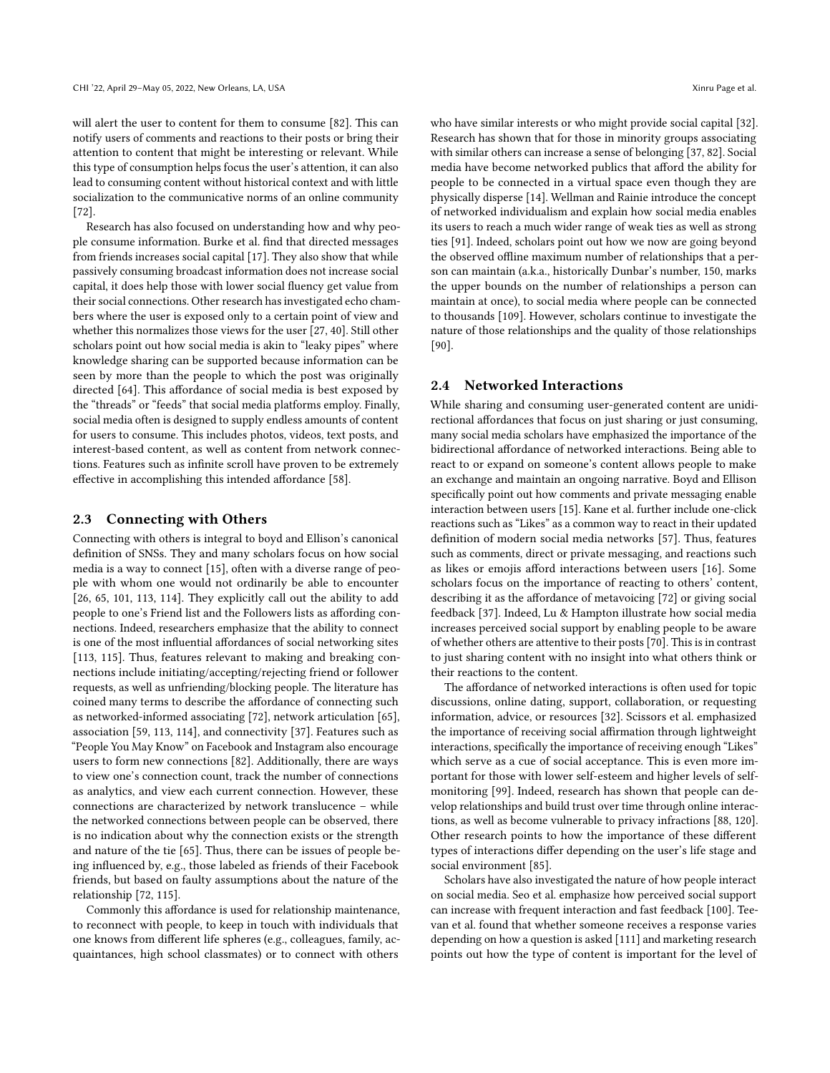will alert the user to content for them to consume [\[82\]](#page-19-2). This can notify users of comments and reactions to their posts or bring their attention to content that might be interesting or relevant. While this type of consumption helps focus the user's attention, it can also lead to consuming content without historical context and with little socialization to the communicative norms of an online community [\[72\]](#page-19-4).

Research has also focused on understanding how and why people consume information. Burke et al. find that directed messages from friends increases social capital [\[17\]](#page-17-6). They also show that while passively consuming broadcast information does not increase social capital, it does help those with lower social fluency get value from their social connections. Other research has investigated echo chambers where the user is exposed only to a certain point of view and whether this normalizes those views for the user [\[27,](#page-18-17) [40\]](#page-18-18). Still other scholars point out how social media is akin to "leaky pipes" where knowledge sharing can be supported because information can be seen by more than the people to which the post was originally directed [\[64\]](#page-18-19). This affordance of social media is best exposed by the "threads" or "feeds" that social media platforms employ. Finally, social media often is designed to supply endless amounts of content for users to consume. This includes photos, videos, text posts, and interest-based content, as well as content from network connections. Features such as infinite scroll have proven to be extremely effective in accomplishing this intended affordance [\[58\]](#page-18-20).

### 2.3 Connecting with Others

Connecting with others is integral to boyd and Ellison's canonical definition of SNSs. They and many scholars focus on how social media is a way to connect [\[15\]](#page-17-3), often with a diverse range of people with whom one would not ordinarily be able to encounter [\[26,](#page-18-21) [65,](#page-19-7) [101,](#page-19-12) [113,](#page-20-7) [114\]](#page-20-8). They explicitly call out the ability to add people to one's Friend list and the Followers lists as affording connections. Indeed, researchers emphasize that the ability to connect is one of the most influential affordances of social networking sites [\[113,](#page-20-7) [115\]](#page-20-9). Thus, features relevant to making and breaking connections include initiating/accepting/rejecting friend or follower requests, as well as unfriending/blocking people. The literature has coined many terms to describe the affordance of connecting such as networked-informed associating [\[72\]](#page-19-4), network articulation [\[65\]](#page-19-7), association [\[59,](#page-18-7) [113,](#page-20-7) [114\]](#page-20-8), and connectivity [\[37\]](#page-18-16). Features such as "People You May Know" on Facebook and Instagram also encourage users to form new connections [\[82\]](#page-19-2). Additionally, there are ways to view one's connection count, track the number of connections as analytics, and view each current connection. However, these connections are characterized by network translucence – while the networked connections between people can be observed, there is no indication about why the connection exists or the strength and nature of the tie [\[65\]](#page-19-7). Thus, there can be issues of people being influenced by, e.g., those labeled as friends of their Facebook friends, but based on faulty assumptions about the nature of the relationship [\[72,](#page-19-4) [115\]](#page-20-9).

Commonly this affordance is used for relationship maintenance, to reconnect with people, to keep in touch with individuals that one knows from different life spheres (e.g., colleagues, family, acquaintances, high school classmates) or to connect with others

who have similar interests or who might provide social capital [\[32\]](#page-18-6). Research has shown that for those in minority groups associating with similar others can increase a sense of belonging [\[37,](#page-18-16) [82\]](#page-19-2). Social media have become networked publics that afford the ability for people to be connected in a virtual space even though they are physically disperse [\[14\]](#page-17-7). Wellman and Rainie introduce the concept of networked individualism and explain how social media enables its users to reach a much wider range of weak ties as well as strong ties [\[91\]](#page-19-13). Indeed, scholars point out how we now are going beyond the observed offline maximum number of relationships that a person can maintain (a.k.a., historically Dunbar's number, 150, marks the upper bounds on the number of relationships a person can maintain at once), to social media where people can be connected to thousands [\[109\]](#page-20-10). However, scholars continue to investigate the nature of those relationships and the quality of those relationships [\[90\]](#page-19-14).

## 2.4 Networked Interactions

While sharing and consuming user-generated content are unidirectional affordances that focus on just sharing or just consuming, many social media scholars have emphasized the importance of the bidirectional affordance of networked interactions. Being able to react to or expand on someone's content allows people to make an exchange and maintain an ongoing narrative. Boyd and Ellison specifically point out how comments and private messaging enable interaction between users [\[15\]](#page-17-3). Kane et al. further include one-click reactions such as "Likes" as a common way to react in their updated definition of modern social media networks [\[57\]](#page-18-15). Thus, features such as comments, direct or private messaging, and reactions such as likes or emojis afford interactions between users [\[16\]](#page-17-4). Some scholars focus on the importance of reacting to others' content, describing it as the affordance of metavoicing [\[72\]](#page-19-4) or giving social feedback [\[37\]](#page-18-16). Indeed, Lu & Hampton illustrate how social media increases perceived social support by enabling people to be aware of whether others are attentive to their posts [\[70\]](#page-19-15). This is in contrast to just sharing content with no insight into what others think or their reactions to the content.

The affordance of networked interactions is often used for topic discussions, online dating, support, collaboration, or requesting information, advice, or resources [\[32\]](#page-18-6). Scissors et al. emphasized the importance of receiving social affirmation through lightweight interactions, specifically the importance of receiving enough "Likes" which serve as a cue of social acceptance. This is even more important for those with lower self-esteem and higher levels of selfmonitoring [\[99\]](#page-19-16). Indeed, research has shown that people can develop relationships and build trust over time through online interactions, as well as become vulnerable to privacy infractions [\[88,](#page-19-17) [120\]](#page-20-11). Other research points to how the importance of these different types of interactions differ depending on the user's life stage and social environment [\[85\]](#page-19-18).

Scholars have also investigated the nature of how people interact on social media. Seo et al. emphasize how perceived social support can increase with frequent interaction and fast feedback [\[100\]](#page-19-19). Teevan et al. found that whether someone receives a response varies depending on how a question is asked [\[111\]](#page-20-12) and marketing research points out how the type of content is important for the level of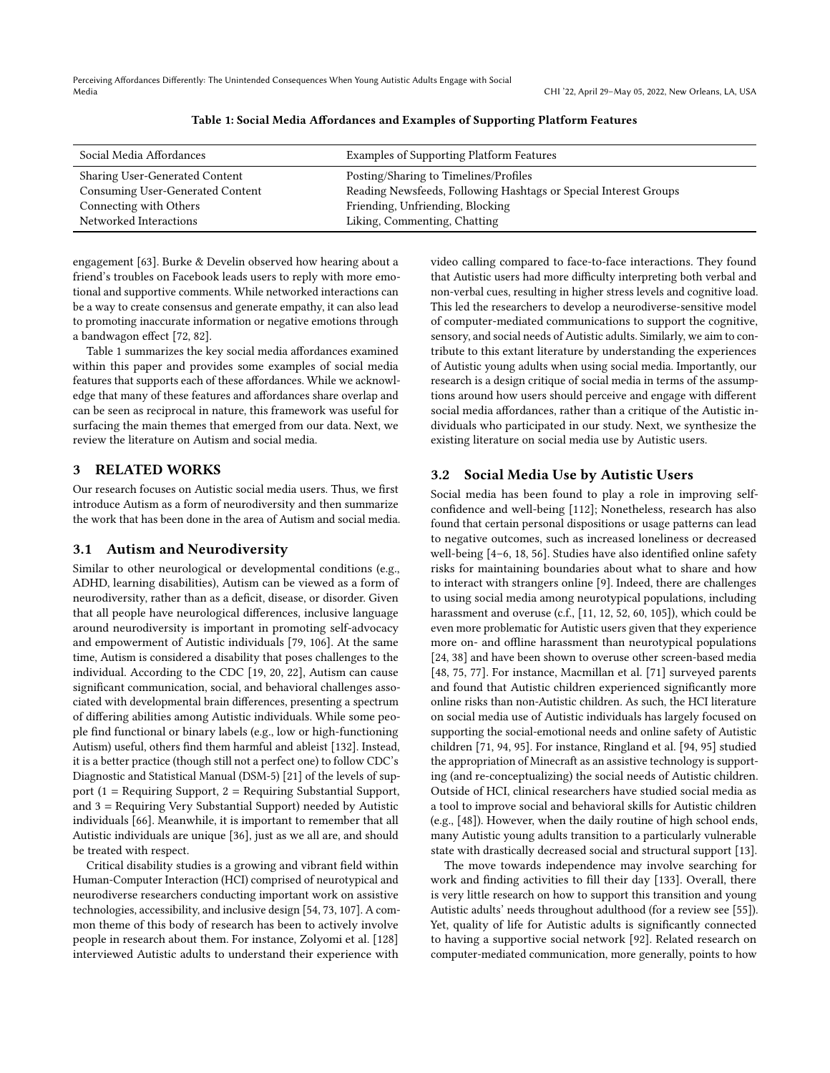<span id="page-4-0"></span>Perceiving Affordances Differently: The Unintended Consequences When Young Autistic Adults Engage with Social Media CHI '22, April 29–May 05, 2022, New Orleans, LA, USA

| Social Media Affordances              | Examples of Supporting Platform Features                         |
|---------------------------------------|------------------------------------------------------------------|
| <b>Sharing User-Generated Content</b> | Posting/Sharing to Timelines/Profiles                            |
| Consuming User-Generated Content      | Reading Newsfeeds, Following Hashtags or Special Interest Groups |
| Connecting with Others                | Friending, Unfriending, Blocking                                 |
| Networked Interactions                | Liking, Commenting, Chatting                                     |

#### Table 1: Social Media Affordances and Examples of Supporting Platform Features

engagement [\[63\]](#page-18-22). Burke & Develin observed how hearing about a friend's troubles on Facebook leads users to reply with more emotional and supportive comments. While networked interactions can be a way to create consensus and generate empathy, it can also lead to promoting inaccurate information or negative emotions through a bandwagon effect [\[72,](#page-19-4) [82\]](#page-19-2).

Table [1](#page-4-0) summarizes the key social media affordances examined within this paper and provides some examples of social media features that supports each of these affordances. While we acknowledge that many of these features and affordances share overlap and can be seen as reciprocal in nature, this framework was useful for surfacing the main themes that emerged from our data. Next, we review the literature on Autism and social media.

# 3 RELATED WORKS

Our research focuses on Autistic social media users. Thus, we first introduce Autism as a form of neurodiversity and then summarize the work that has been done in the area of Autism and social media.

### 3.1 Autism and Neurodiversity

Similar to other neurological or developmental conditions (e.g., ADHD, learning disabilities), Autism can be viewed as a form of neurodiversity, rather than as a deficit, disease, or disorder. Given that all people have neurological differences, inclusive language around neurodiversity is important in promoting self-advocacy and empowerment of Autistic individuals [\[79,](#page-19-20) [106\]](#page-20-13). At the same time, Autism is considered a disability that poses challenges to the individual. According to the CDC [\[19,](#page-17-8) [20,](#page-17-9) [22\]](#page-17-10), Autism can cause significant communication, social, and behavioral challenges associated with developmental brain differences, presenting a spectrum of differing abilities among Autistic individuals. While some people find functional or binary labels (e.g., low or high-functioning Autism) useful, others find them harmful and ableist [\[132\]](#page-20-14). Instead, it is a better practice (though still not a perfect one) to follow CDC's Diagnostic and Statistical Manual (DSM-5) [\[21\]](#page-17-11) of the levels of support (1 = Requiring Support, 2 = Requiring Substantial Support, and 3 = Requiring Very Substantial Support) needed by Autistic individuals [\[66\]](#page-19-21). Meanwhile, it is important to remember that all Autistic individuals are unique [\[36\]](#page-18-23), just as we all are, and should be treated with respect.

Critical disability studies is a growing and vibrant field within Human-Computer Interaction (HCI) comprised of neurotypical and neurodiverse researchers conducting important work on assistive technologies, accessibility, and inclusive design [\[54,](#page-18-24) [73,](#page-19-22) [107\]](#page-20-15). A common theme of this body of research has been to actively involve people in research about them. For instance, Zolyomi et al. [\[128\]](#page-20-16) interviewed Autistic adults to understand their experience with

video calling compared to face-to-face interactions. They found that Autistic users had more difficulty interpreting both verbal and non-verbal cues, resulting in higher stress levels and cognitive load. This led the researchers to develop a neurodiverse-sensitive model of computer-mediated communications to support the cognitive, sensory, and social needs of Autistic adults. Similarly, we aim to contribute to this extant literature by understanding the experiences of Autistic young adults when using social media. Importantly, our research is a design critique of social media in terms of the assumptions around how users should perceive and engage with different social media affordances, rather than a critique of the Autistic individuals who participated in our study. Next, we synthesize the existing literature on social media use by Autistic users.

### 3.2 Social Media Use by Autistic Users

Social media has been found to play a role in improving selfconfidence and well-being [\[112\]](#page-20-17); Nonetheless, research has also found that certain personal dispositions or usage patterns can lead to negative outcomes, such as increased loneliness or decreased well-being [\[4](#page-17-12)[–6,](#page-17-13) [18,](#page-17-14) [56\]](#page-18-25). Studies have also identified online safety risks for maintaining boundaries about what to share and how to interact with strangers online [\[9\]](#page-17-15). Indeed, there are challenges to using social media among neurotypical populations, including harassment and overuse (c.f., [\[11,](#page-17-1) [12,](#page-17-16) [52,](#page-18-26) [60,](#page-18-27) [105\]](#page-19-23)), which could be even more problematic for Autistic users given that they experience more on- and offline harassment than neurotypical populations [\[24,](#page-18-28) [38\]](#page-18-29) and have been shown to overuse other screen-based media [\[48,](#page-18-30) [75,](#page-19-1) [77\]](#page-19-24). For instance, Macmillan et al. [\[71\]](#page-19-25) surveyed parents and found that Autistic children experienced significantly more online risks than non-Autistic children. As such, the HCI literature on social media use of Autistic individuals has largely focused on supporting the social-emotional needs and online safety of Autistic children [\[71,](#page-19-25) [94,](#page-19-26) [95\]](#page-19-27). For instance, Ringland et al. [\[94,](#page-19-26) [95\]](#page-19-27) studied the appropriation of Minecraft as an assistive technology is supporting (and re-conceptualizing) the social needs of Autistic children. Outside of HCI, clinical researchers have studied social media as a tool to improve social and behavioral skills for Autistic children (e.g., [\[48\]](#page-18-30)). However, when the daily routine of high school ends, many Autistic young adults transition to a particularly vulnerable state with drastically decreased social and structural support [\[13\]](#page-17-17).

The move towards independence may involve searching for work and finding activities to fill their day [\[133\]](#page-20-18). Overall, there is very little research on how to support this transition and young Autistic adults' needs throughout adulthood (for a review see [\[55\]](#page-18-31)). Yet, quality of life for Autistic adults is significantly connected to having a supportive social network [\[92\]](#page-19-28). Related research on computer-mediated communication, more generally, points to how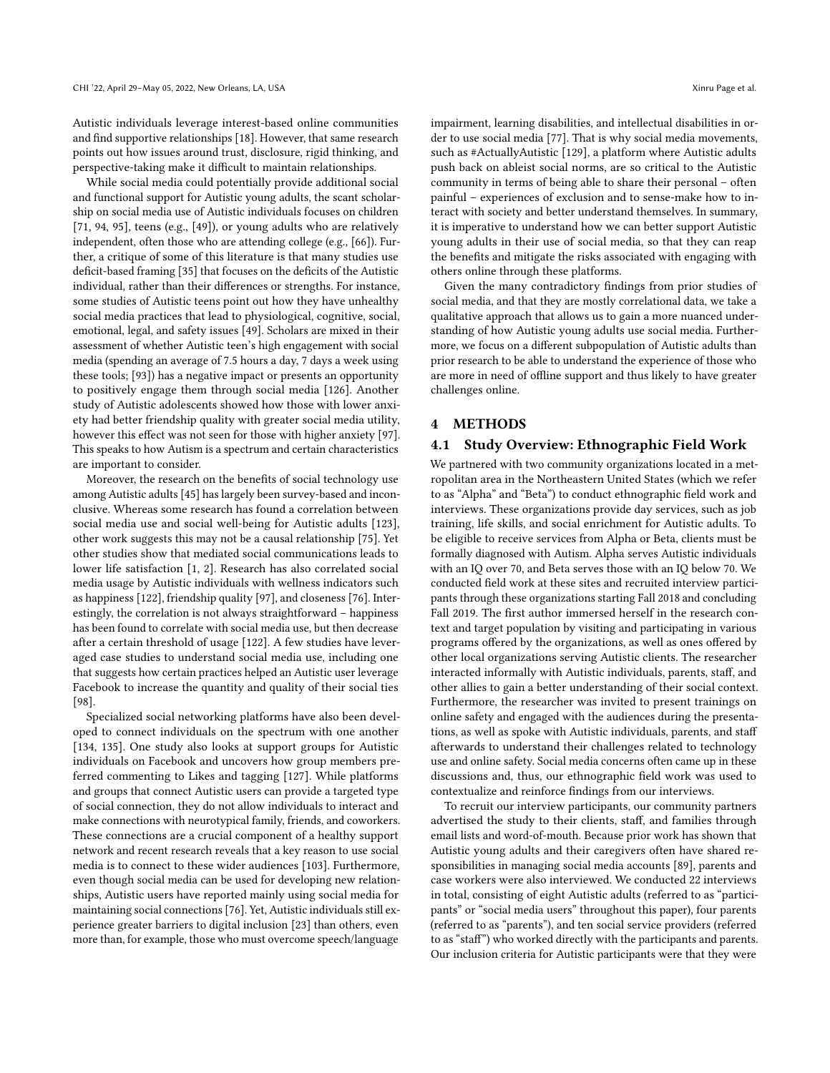Autistic individuals leverage interest-based online communities and find supportive relationships [\[18\]](#page-17-14). However, that same research points out how issues around trust, disclosure, rigid thinking, and perspective-taking make it difficult to maintain relationships.

While social media could potentially provide additional social and functional support for Autistic young adults, the scant scholarship on social media use of Autistic individuals focuses on children [\[71,](#page-19-25) [94,](#page-19-26) [95\]](#page-19-27), teens (e.g., [\[49\]](#page-18-32)), or young adults who are relatively independent, often those who are attending college (e.g., [\[66\]](#page-19-21)). Further, a critique of some of this literature is that many studies use deficit-based framing [\[35\]](#page-18-33) that focuses on the deficits of the Autistic individual, rather than their differences or strengths. For instance, some studies of Autistic teens point out how they have unhealthy social media practices that lead to physiological, cognitive, social, emotional, legal, and safety issues [\[49\]](#page-18-32). Scholars are mixed in their assessment of whether Autistic teen's high engagement with social media (spending an average of 7.5 hours a day, 7 days a week using these tools; [\[93\]](#page-19-29)) has a negative impact or presents an opportunity to positively engage them through social media [\[126\]](#page-20-19). Another study of Autistic adolescents showed how those with lower anxiety had better friendship quality with greater social media utility, however this effect was not seen for those with higher anxiety [\[97\]](#page-19-30). This speaks to how Autism is a spectrum and certain characteristics are important to consider.

Moreover, the research on the benefits of social technology use among Autistic adults [\[45\]](#page-18-34) has largely been survey-based and inconclusive. Whereas some research has found a correlation between social media use and social well-being for Autistic adults [\[123\]](#page-20-20), other work suggests this may not be a causal relationship [\[75\]](#page-19-1). Yet other studies show that mediated social communications leads to lower life satisfaction [\[1,](#page-17-2) [2\]](#page-17-18). Research has also correlated social media usage by Autistic individuals with wellness indicators such as happiness [\[122\]](#page-20-21), friendship quality [\[97\]](#page-19-30), and closeness [\[76\]](#page-19-31). Interestingly, the correlation is not always straightforward – happiness has been found to correlate with social media use, but then decrease after a certain threshold of usage [\[122\]](#page-20-21). A few studies have leveraged case studies to understand social media use, including one that suggests how certain practices helped an Autistic user leverage Facebook to increase the quantity and quality of their social ties [\[98\]](#page-19-32).

Specialized social networking platforms have also been developed to connect individuals on the spectrum with one another [\[134,](#page-20-22) [135\]](#page-20-23). One study also looks at support groups for Autistic individuals on Facebook and uncovers how group members preferred commenting to Likes and tagging [\[127\]](#page-20-24). While platforms and groups that connect Autistic users can provide a targeted type of social connection, they do not allow individuals to interact and make connections with neurotypical family, friends, and coworkers. These connections are a crucial component of a healthy support network and recent research reveals that a key reason to use social media is to connect to these wider audiences [\[103\]](#page-19-33). Furthermore, even though social media can be used for developing new relationships, Autistic users have reported mainly using social media for maintaining social connections [\[76\]](#page-19-31). Yet, Autistic individuals still experience greater barriers to digital inclusion [\[23\]](#page-18-35) than others, even more than, for example, those who must overcome speech/language

impairment, learning disabilities, and intellectual disabilities in order to use social media [\[77\]](#page-19-24). That is why social media movements, such as #ActuallyAutistic [\[129\]](#page-20-25), a platform where Autistic adults push back on ableist social norms, are so critical to the Autistic community in terms of being able to share their personal – often painful – experiences of exclusion and to sense-make how to interact with society and better understand themselves. In summary, it is imperative to understand how we can better support Autistic young adults in their use of social media, so that they can reap the benefits and mitigate the risks associated with engaging with others online through these platforms.

Given the many contradictory findings from prior studies of social media, and that they are mostly correlational data, we take a qualitative approach that allows us to gain a more nuanced understanding of how Autistic young adults use social media. Furthermore, we focus on a different subpopulation of Autistic adults than prior research to be able to understand the experience of those who are more in need of offline support and thus likely to have greater challenges online.

# 4 METHODS

### 4.1 Study Overview: Ethnographic Field Work

We partnered with two community organizations located in a metropolitan area in the Northeastern United States (which we refer to as "Alpha" and "Beta") to conduct ethnographic field work and interviews. These organizations provide day services, such as job training, life skills, and social enrichment for Autistic adults. To be eligible to receive services from Alpha or Beta, clients must be formally diagnosed with Autism. Alpha serves Autistic individuals with an IQ over 70, and Beta serves those with an IQ below 70. We conducted field work at these sites and recruited interview participants through these organizations starting Fall 2018 and concluding Fall 2019. The first author immersed herself in the research context and target population by visiting and participating in various programs offered by the organizations, as well as ones offered by other local organizations serving Autistic clients. The researcher interacted informally with Autistic individuals, parents, staff, and other allies to gain a better understanding of their social context. Furthermore, the researcher was invited to present trainings on online safety and engaged with the audiences during the presentations, as well as spoke with Autistic individuals, parents, and staff afterwards to understand their challenges related to technology use and online safety. Social media concerns often came up in these discussions and, thus, our ethnographic field work was used to contextualize and reinforce findings from our interviews.

To recruit our interview participants, our community partners advertised the study to their clients, staff, and families through email lists and word-of-mouth. Because prior work has shown that Autistic young adults and their caregivers often have shared responsibilities in managing social media accounts [\[89\]](#page-19-34), parents and case workers were also interviewed. We conducted 22 interviews in total, consisting of eight Autistic adults (referred to as "participants" or "social media users" throughout this paper), four parents (referred to as "parents"), and ten social service providers (referred to as "staff") who worked directly with the participants and parents. Our inclusion criteria for Autistic participants were that they were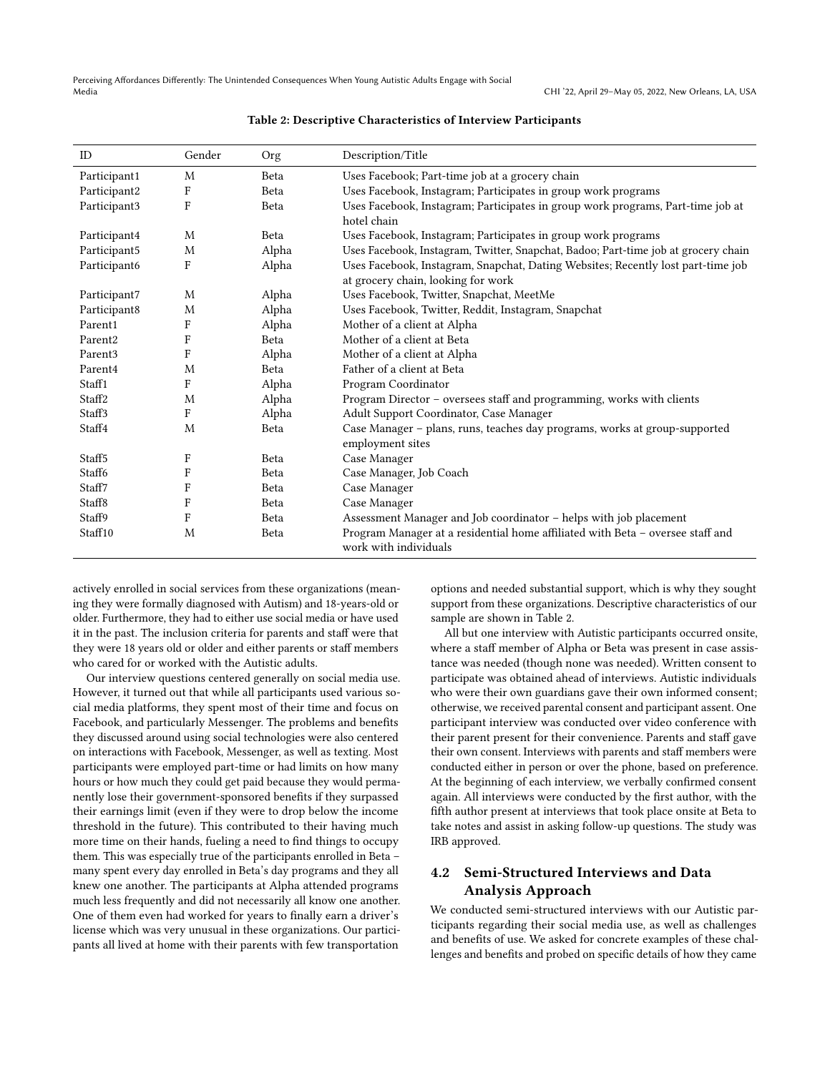<span id="page-6-0"></span>

| ID                  | Gender                    | Org         | Description/Title                                                                                       |  |
|---------------------|---------------------------|-------------|---------------------------------------------------------------------------------------------------------|--|
| Participant1        | M                         | Beta        | Uses Facebook; Part-time job at a grocery chain                                                         |  |
| Participant2        | F                         | Beta        | Uses Facebook, Instagram; Participates in group work programs                                           |  |
| Participant3        | $\mathbf F$               | Beta        | Uses Facebook, Instagram; Participates in group work programs, Part-time job at                         |  |
|                     |                           |             | hotel chain                                                                                             |  |
| Participant4        | M                         | Beta        | Uses Facebook, Instagram; Participates in group work programs                                           |  |
| Participant5        | M                         | Alpha       | Uses Facebook, Instagram, Twitter, Snapchat, Badoo; Part-time job at grocery chain                      |  |
| Participant6        | F                         | Alpha       | Uses Facebook, Instagram, Snapchat, Dating Websites; Recently lost part-time job                        |  |
|                     |                           |             | at grocery chain, looking for work                                                                      |  |
| Participant7        | M                         | Alpha       | Uses Facebook, Twitter, Snapchat, MeetMe                                                                |  |
| Participant8        | M                         | Alpha       | Uses Facebook, Twitter, Reddit, Instagram, Snapchat                                                     |  |
| Parent1             | F                         | Alpha       | Mother of a client at Alpha                                                                             |  |
| Parent <sub>2</sub> | $\boldsymbol{\mathrm{F}}$ | <b>Beta</b> | Mother of a client at Beta                                                                              |  |
| Parent <sub>3</sub> | F                         | Alpha       | Mother of a client at Alpha                                                                             |  |
| Parent4             | M                         | Beta        | Father of a client at Beta                                                                              |  |
| Staff1              | F                         | Alpha       | Program Coordinator                                                                                     |  |
| Staff <sub>2</sub>  | M                         | Alpha       | Program Director - oversees staff and programming, works with clients                                   |  |
| Staff3              | F                         | Alpha       | Adult Support Coordinator, Case Manager                                                                 |  |
| Staff4              | M                         | Beta        | Case Manager - plans, runs, teaches day programs, works at group-supported                              |  |
|                     |                           |             | employment sites                                                                                        |  |
| Staff <sub>5</sub>  | F                         | Beta        | Case Manager                                                                                            |  |
| Staff6              | $\mathbf F$               | Beta        | Case Manager, Job Coach                                                                                 |  |
| Staff7              | F                         | Beta        | Case Manager                                                                                            |  |
| Staff <sub>8</sub>  | F                         | Beta        | Case Manager                                                                                            |  |
| Staff9              | $\mathbf F$               | Beta        | Assessment Manager and Job coordinator - helps with job placement                                       |  |
| Staff10             | M                         | Beta        | Program Manager at a residential home affiliated with Beta - oversee staff and<br>work with individuals |  |

#### Table 2: Descriptive Characteristics of Interview Participants

actively enrolled in social services from these organizations (meaning they were formally diagnosed with Autism) and 18-years-old or older. Furthermore, they had to either use social media or have used it in the past. The inclusion criteria for parents and staff were that they were 18 years old or older and either parents or staff members who cared for or worked with the Autistic adults.

Our interview questions centered generally on social media use. However, it turned out that while all participants used various social media platforms, they spent most of their time and focus on Facebook, and particularly Messenger. The problems and benefits they discussed around using social technologies were also centered on interactions with Facebook, Messenger, as well as texting. Most participants were employed part-time or had limits on how many hours or how much they could get paid because they would permanently lose their government-sponsored benefits if they surpassed their earnings limit (even if they were to drop below the income threshold in the future). This contributed to their having much more time on their hands, fueling a need to find things to occupy them. This was especially true of the participants enrolled in Beta – many spent every day enrolled in Beta's day programs and they all knew one another. The participants at Alpha attended programs much less frequently and did not necessarily all know one another. One of them even had worked for years to finally earn a driver's license which was very unusual in these organizations. Our participants all lived at home with their parents with few transportation

options and needed substantial support, which is why they sought support from these organizations. Descriptive characteristics of our sample are shown in Table [2.](#page-6-0)

All but one interview with Autistic participants occurred onsite, where a staff member of Alpha or Beta was present in case assistance was needed (though none was needed). Written consent to participate was obtained ahead of interviews. Autistic individuals who were their own guardians gave their own informed consent; otherwise, we received parental consent and participant assent. One participant interview was conducted over video conference with their parent present for their convenience. Parents and staff gave their own consent. Interviews with parents and staff members were conducted either in person or over the phone, based on preference. At the beginning of each interview, we verbally confirmed consent again. All interviews were conducted by the first author, with the fifth author present at interviews that took place onsite at Beta to take notes and assist in asking follow-up questions. The study was IRB approved.

# 4.2 Semi-Structured Interviews and Data Analysis Approach

We conducted semi-structured interviews with our Autistic participants regarding their social media use, as well as challenges and benefits of use. We asked for concrete examples of these challenges and benefits and probed on specific details of how they came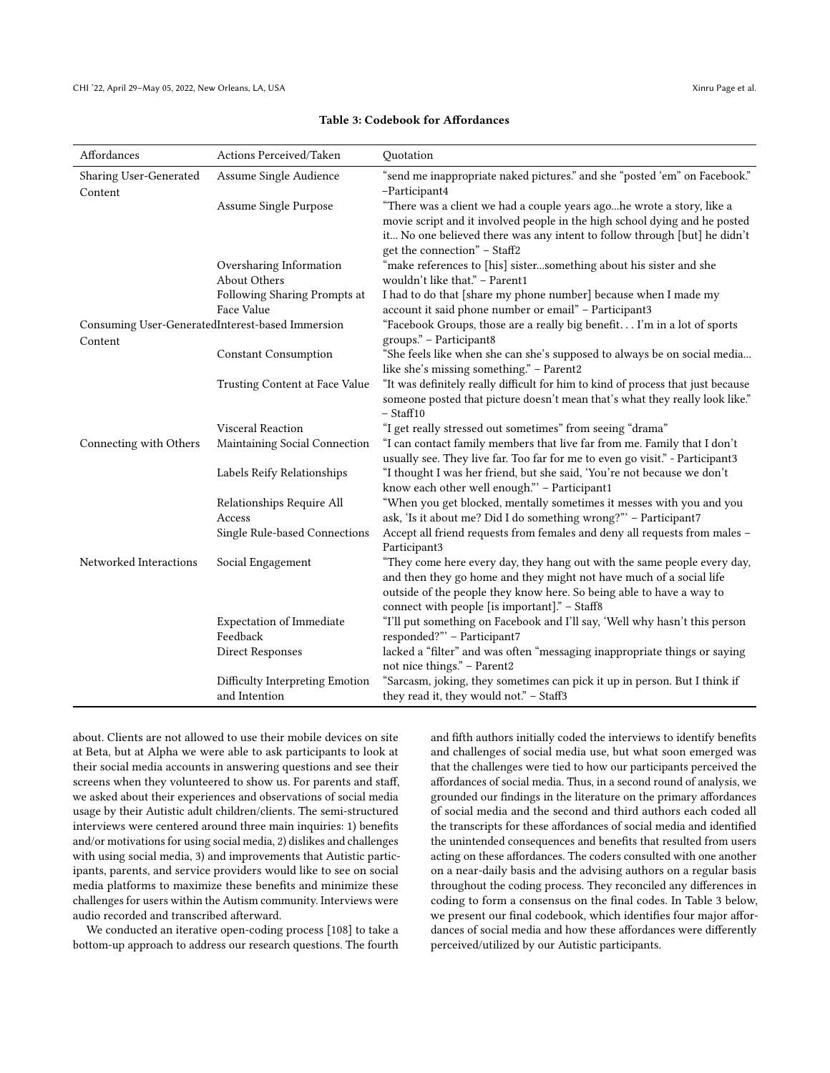<span id="page-7-0"></span>

| Affordances                                      | Actions Perceived/Taken         | Quotation                                                                        |
|--------------------------------------------------|---------------------------------|----------------------------------------------------------------------------------|
| Sharing User-Generated                           | Assume Single Audience          | "send me inappropriate naked pictures." and she "posted 'em" on Facebook."       |
| Content                                          |                                 | -Participant4                                                                    |
|                                                  | Assume Single Purpose           | "There was a client we had a couple years agohe wrote a story, like a            |
|                                                  |                                 | movie script and it involved people in the high school dying and he posted       |
|                                                  |                                 | it No one believed there was any intent to follow through [but] he didn't        |
|                                                  |                                 | get the connection" - Staff2                                                     |
|                                                  | Oversharing Information         | "make references to [his] sistersomething about his sister and she               |
|                                                  | About Others                    | wouldn't like that." - Parent1                                                   |
|                                                  | Following Sharing Prompts at    | I had to do that [share my phone number] because when I made my                  |
|                                                  | Face Value                      | account it said phone number or email" - Participant3                            |
| Consuming User-GeneratedInterest-based Immersion |                                 | "Facebook Groups, those are a really big benefit. I'm in a lot of sports         |
| Content                                          |                                 | groups." - Participant8                                                          |
|                                                  | <b>Constant Consumption</b>     | "She feels like when she can she's supposed to always be on social media         |
|                                                  |                                 | like she's missing something." - Parent2                                         |
|                                                  | Trusting Content at Face Value  | "It was definitely really difficult for him to kind of process that just because |
|                                                  |                                 | someone posted that picture doesn't mean that's what they really look like."     |
|                                                  |                                 | $-$ Staff10                                                                      |
|                                                  | Visceral Reaction               | "I get really stressed out sometimes" from seeing "drama"                        |
| Connecting with Others                           | Maintaining Social Connection   | "I can contact family members that live far from me. Family that I don't         |
|                                                  |                                 | usually see. They live far. Too far for me to even go visit." - Participant3     |
|                                                  | Labels Reify Relationships      | "I thought I was her friend, but she said, 'You're not because we don't          |
|                                                  |                                 | know each other well enough." - Participant1                                     |
|                                                  | Relationships Require All       | "When you get blocked, mentally sometimes it messes with you and you             |
|                                                  | Access                          | ask, 'Is it about me? Did I do something wrong?" - Participant7                  |
|                                                  | Single Rule-based Connections   | Accept all friend requests from females and deny all requests from males -       |
|                                                  |                                 | Participant3                                                                     |
| Networked Interactions                           | Social Engagement               | "They come here every day, they hang out with the same people every day,         |
|                                                  |                                 | and then they go home and they might not have much of a social life              |
|                                                  |                                 | outside of the people they know here. So being able to have a way to             |
|                                                  |                                 | connect with people [is important]." - Staff8                                    |
|                                                  | <b>Expectation of Immediate</b> | "I'll put something on Facebook and I'll say, 'Well why hasn't this person       |
|                                                  | Feedback                        | responded?" - Participant7                                                       |
|                                                  | <b>Direct Responses</b>         | lacked a "filter" and was often "messaging inappropriate things or saying        |
|                                                  |                                 | not nice things." - Parent2                                                      |
|                                                  | Difficulty Interpreting Emotion | "Sarcasm, joking, they sometimes can pick it up in person. But I think if        |
|                                                  | and Intention                   | they read it, they would not." - Staff3                                          |

### Table 3: Codebook for Affordances

about. Clients are not allowed to use their mobile devices on site at Beta, but at Alpha we were able to ask participants to look at their social media accounts in answering questions and see their screens when they volunteered to show us. For parents and staff, we asked about their experiences and observations of social media usage by their Autistic adult children/clients. The semi-structured interviews were centered around three main inquiries: 1) benefits and/or motivations for using social media, 2) dislikes and challenges with using social media, 3) and improvements that Autistic participants, parents, and service providers would like to see on social media platforms to maximize these benefits and minimize these challenges for users within the Autism community. Interviews were audio recorded and transcribed afterward.

We conducted an iterative open-coding process [\[108\]](#page-20-26) to take a bottom-up approach to address our research questions. The fourth and fifth authors initially coded the interviews to identify benefits and challenges of social media use, but what soon emerged was that the challenges were tied to how our participants perceived the affordances of social media. Thus, in a second round of analysis, we grounded our findings in the literature on the primary affordances of social media and the second and third authors each coded all the transcripts for these affordances of social media and identified the unintended consequences and benefits that resulted from users acting on these affordances. The coders consulted with one another on a near-daily basis and the advising authors on a regular basis throughout the coding process. They reconciled any differences in coding to form a consensus on the final codes. In Table [3](#page-7-0) below, we present our final codebook, which identifies four major affordances of social media and how these affordances were differently perceived/utilized by our Autistic participants.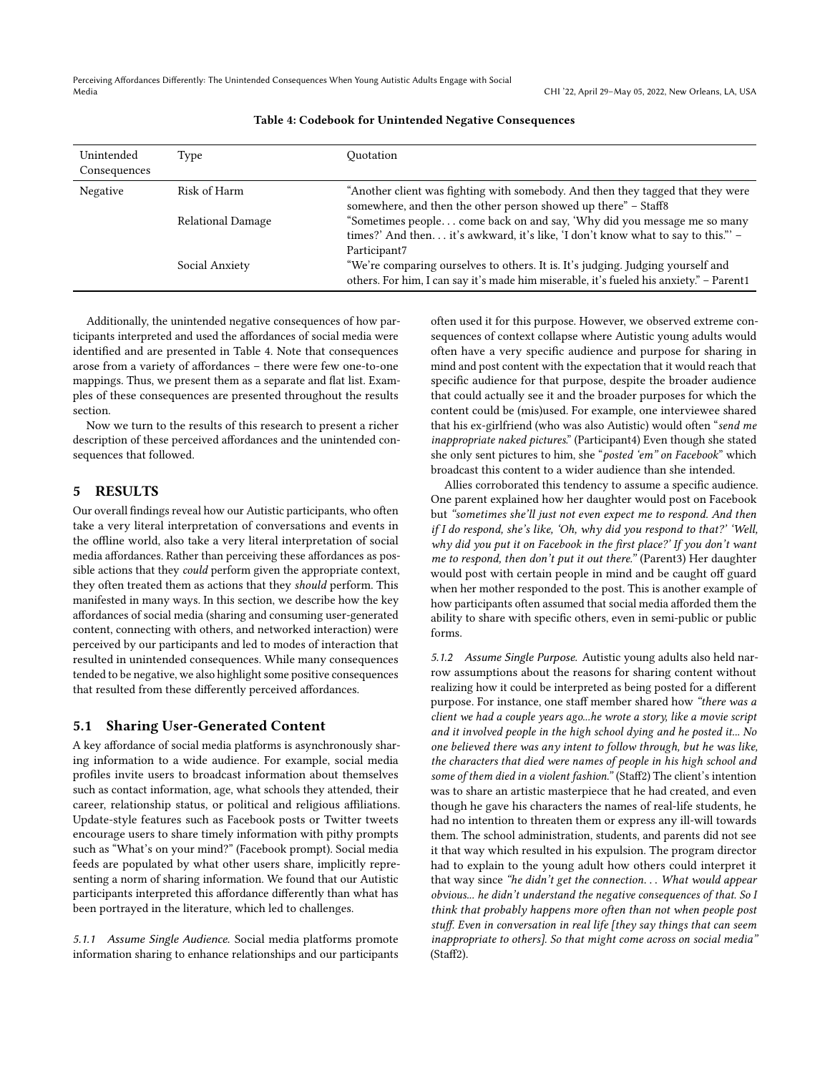<span id="page-8-0"></span>Perceiving Affordances Differently: The Unintended Consequences When Young Autistic Adults Engage with Social Media CHI '22, April 29–May 05, 2022, New Orleans, LA, USA

| Unintended<br>Consequences | Type                     | Ouotation                                                                                                                                                                   |
|----------------------------|--------------------------|-----------------------------------------------------------------------------------------------------------------------------------------------------------------------------|
| Negative                   | Risk of Harm             | "Another client was fighting with somebody. And then they tagged that they were<br>somewhere, and then the other person showed up there" - Staff8                           |
|                            | <b>Relational Damage</b> | "Sometimes people come back on and say, 'Why did you message me so many<br>times?' And then it's awkward, it's like, 'I don't know what to say to this."' -<br>Participant7 |
|                            | Social Anxiety           | "We're comparing ourselves to others. It is. It's judging. Judging yourself and<br>others. For him, I can say it's made him miserable, it's fueled his anxiety." - Parent1  |

#### Table 4: Codebook for Unintended Negative Consequences

Additionally, the unintended negative consequences of how participants interpreted and used the affordances of social media were identified and are presented in Table [4.](#page-8-0) Note that consequences arose from a variety of affordances – there were few one-to-one mappings. Thus, we present them as a separate and flat list. Examples of these consequences are presented throughout the results section.

Now we turn to the results of this research to present a richer description of these perceived affordances and the unintended consequences that followed.

# 5 RESULTS

Our overall findings reveal how our Autistic participants, who often take a very literal interpretation of conversations and events in the offline world, also take a very literal interpretation of social media affordances. Rather than perceiving these affordances as possible actions that they could perform given the appropriate context, they often treated them as actions that they should perform. This manifested in many ways. In this section, we describe how the key affordances of social media (sharing and consuming user-generated content, connecting with others, and networked interaction) were perceived by our participants and led to modes of interaction that resulted in unintended consequences. While many consequences tended to be negative, we also highlight some positive consequences that resulted from these differently perceived affordances.

### 5.1 Sharing User-Generated Content

A key affordance of social media platforms is asynchronously sharing information to a wide audience. For example, social media profiles invite users to broadcast information about themselves such as contact information, age, what schools they attended, their career, relationship status, or political and religious affiliations. Update-style features such as Facebook posts or Twitter tweets encourage users to share timely information with pithy prompts such as "What's on your mind?" (Facebook prompt). Social media feeds are populated by what other users share, implicitly representing a norm of sharing information. We found that our Autistic participants interpreted this affordance differently than what has been portrayed in the literature, which led to challenges.

5.1.1 Assume Single Audience. Social media platforms promote information sharing to enhance relationships and our participants

often used it for this purpose. However, we observed extreme consequences of context collapse where Autistic young adults would often have a very specific audience and purpose for sharing in mind and post content with the expectation that it would reach that specific audience for that purpose, despite the broader audience that could actually see it and the broader purposes for which the content could be (mis)used. For example, one interviewee shared that his ex-girlfriend (who was also Autistic) would often "send me inappropriate naked pictures." (Participant4) Even though she stated she only sent pictures to him, she "posted 'em" on Facebook" which broadcast this content to a wider audience than she intended.

Allies corroborated this tendency to assume a specific audience. One parent explained how her daughter would post on Facebook but "sometimes she'll just not even expect me to respond. And then if I do respond, she's like, 'Oh, why did you respond to that?' 'Well, why did you put it on Facebook in the first place?' If you don't want me to respond, then don't put it out there." (Parent3) Her daughter would post with certain people in mind and be caught off guard when her mother responded to the post. This is another example of how participants often assumed that social media afforded them the ability to share with specific others, even in semi-public or public forms.

5.1.2 Assume Single Purpose. Autistic young adults also held narrow assumptions about the reasons for sharing content without realizing how it could be interpreted as being posted for a different purpose. For instance, one staff member shared how "there was a client we had a couple years ago...he wrote a story, like a movie script and it involved people in the high school dying and he posted it... No one believed there was any intent to follow through, but he was like, the characters that died were names of people in his high school and some of them died in a violent fashion." (Staff2) The client's intention was to share an artistic masterpiece that he had created, and even though he gave his characters the names of real-life students, he had no intention to threaten them or express any ill-will towards them. The school administration, students, and parents did not see it that way which resulted in his expulsion. The program director had to explain to the young adult how others could interpret it that way since "he didn't get the connection. . . What would appear obvious... he didn't understand the negative consequences of that. So I think that probably happens more often than not when people post stuff. Even in conversation in real life [they say things that can seem inappropriate to others]. So that might come across on social media' (Staff2).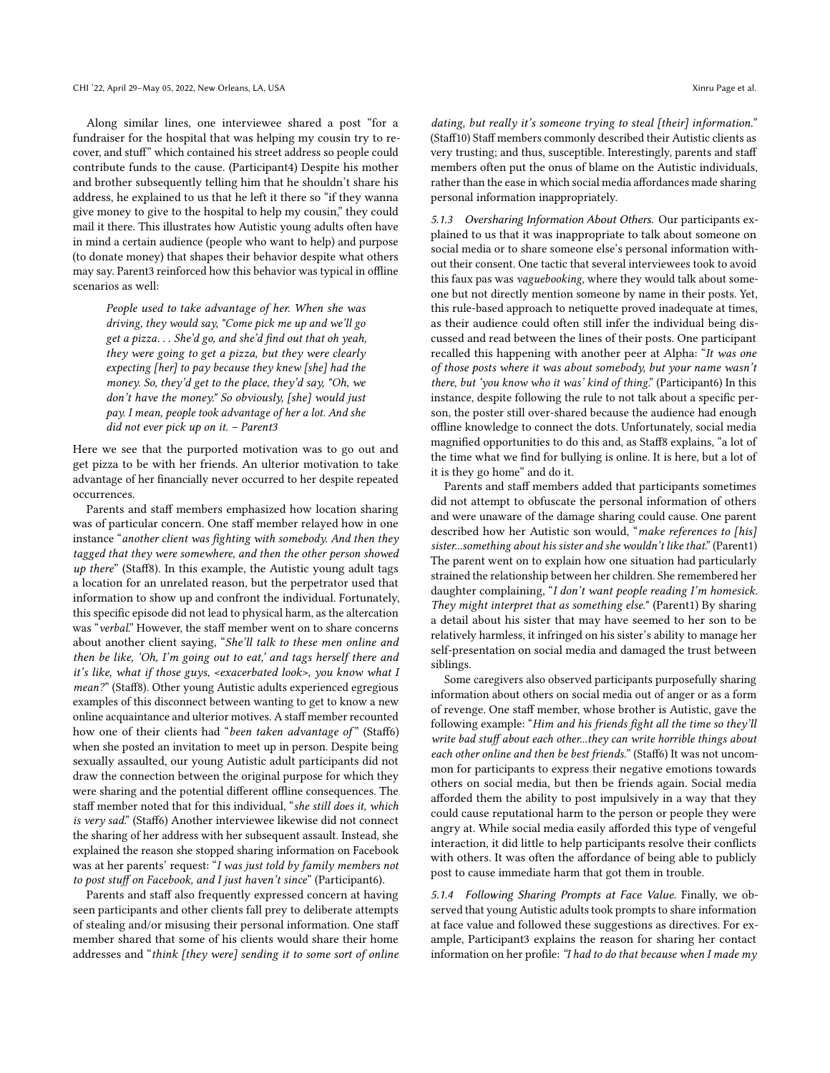Along similar lines, one interviewee shared a post "for a fundraiser for the hospital that was helping my cousin try to recover, and stuff" which contained his street address so people could contribute funds to the cause. (Participant4) Despite his mother and brother subsequently telling him that he shouldn't share his address, he explained to us that he left it there so "if they wanna give money to give to the hospital to help my cousin," they could mail it there. This illustrates how Autistic young adults often have in mind a certain audience (people who want to help) and purpose (to donate money) that shapes their behavior despite what others may say. Parent3 reinforced how this behavior was typical in offline scenarios as well:

People used to take advantage of her. When she was driving, they would say, "Come pick me up and we'll go get a pizza. . . She'd go, and she'd find out that oh yeah, they were going to get a pizza, but they were clearly expecting [her] to pay because they knew [she] had the money. So, they'd get to the place, they'd say, "Oh, we don't have the money." So obviously, [she] would just pay. I mean, people took advantage of her a lot. And she did not ever pick up on it. – Parent3

Here we see that the purported motivation was to go out and get pizza to be with her friends. An ulterior motivation to take advantage of her financially never occurred to her despite repeated occurrences.

Parents and staff members emphasized how location sharing was of particular concern. One staff member relayed how in one instance "another client was fighting with somebody. And then they tagged that they were somewhere, and then the other person showed up there" (Staff8). In this example, the Autistic young adult tags a location for an unrelated reason, but the perpetrator used that information to show up and confront the individual. Fortunately, this specific episode did not lead to physical harm, as the altercation was "verbal." However, the staff member went on to share concerns about another client saying, "She'll talk to these men online and then be like, 'Oh, I'm going out to eat,' and tags herself there and it's like, what if those guys, <exacerbated look>, you know what I mean?" (Staff8). Other young Autistic adults experienced egregious examples of this disconnect between wanting to get to know a new online acquaintance and ulterior motives. A staff member recounted how one of their clients had "been taken advantage of" (Staff6) when she posted an invitation to meet up in person. Despite being sexually assaulted, our young Autistic adult participants did not draw the connection between the original purpose for which they were sharing and the potential different offline consequences. The staff member noted that for this individual, "she still does it, which is very sad." (Staff6) Another interviewee likewise did not connect the sharing of her address with her subsequent assault. Instead, she explained the reason she stopped sharing information on Facebook was at her parents' request: "I was just told by family members not to post stuff on Facebook, and I just haven't since" (Participant6).

Parents and staff also frequently expressed concern at having seen participants and other clients fall prey to deliberate attempts of stealing and/or misusing their personal information. One staff member shared that some of his clients would share their home addresses and "think [they were] sending it to some sort of online

dating, but really it's someone trying to steal [their] information." (Staff10) Staff members commonly described their Autistic clients as very trusting; and thus, susceptible. Interestingly, parents and staff members often put the onus of blame on the Autistic individuals, rather than the ease in which social media affordances made sharing personal information inappropriately.

5.1.3 Oversharing Information About Others. Our participants explained to us that it was inappropriate to talk about someone on social media or to share someone else's personal information without their consent. One tactic that several interviewees took to avoid this faux pas was vaguebooking, where they would talk about someone but not directly mention someone by name in their posts. Yet, this rule-based approach to netiquette proved inadequate at times, as their audience could often still infer the individual being discussed and read between the lines of their posts. One participant recalled this happening with another peer at Alpha: "It was one of those posts where it was about somebody, but your name wasn't there, but 'you know who it was' kind of thing." (Participant6) In this instance, despite following the rule to not talk about a specific person, the poster still over-shared because the audience had enough offline knowledge to connect the dots. Unfortunately, social media magnified opportunities to do this and, as Staff8 explains, "a lot of the time what we find for bullying is online. It is here, but a lot of it is they go home" and do it.

Parents and staff members added that participants sometimes did not attempt to obfuscate the personal information of others and were unaware of the damage sharing could cause. One parent described how her Autistic son would, "make references to [his] sister...something about his sister and she wouldn't like that." (Parent1) The parent went on to explain how one situation had particularly strained the relationship between her children. She remembered her daughter complaining, "I don't want people reading I'm homesick. They might interpret that as something else." (Parent1) By sharing a detail about his sister that may have seemed to her son to be relatively harmless, it infringed on his sister's ability to manage her self-presentation on social media and damaged the trust between siblings.

Some caregivers also observed participants purposefully sharing information about others on social media out of anger or as a form of revenge. One staff member, whose brother is Autistic, gave the following example: "Him and his friends fight all the time so they'll write bad stuff about each other...they can write horrible things about each other online and then be best friends." (Staff6) It was not uncommon for participants to express their negative emotions towards others on social media, but then be friends again. Social media afforded them the ability to post impulsively in a way that they could cause reputational harm to the person or people they were angry at. While social media easily afforded this type of vengeful interaction, it did little to help participants resolve their conflicts with others. It was often the affordance of being able to publicly post to cause immediate harm that got them in trouble.

5.1.4 Following Sharing Prompts at Face Value. Finally, we observed that young Autistic adults took prompts to share information at face value and followed these suggestions as directives. For example, Participant3 explains the reason for sharing her contact information on her profile: "I had to do that because when I made my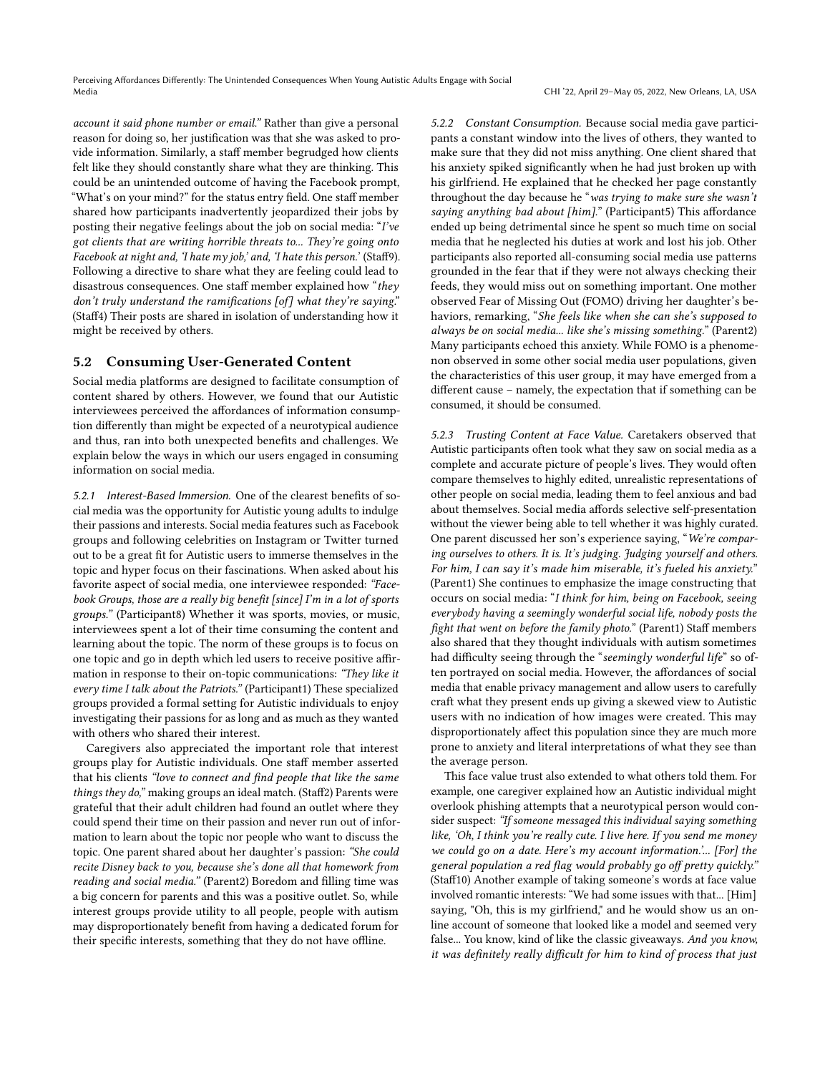account it said phone number or email." Rather than give a personal reason for doing so, her justification was that she was asked to provide information. Similarly, a staff member begrudged how clients felt like they should constantly share what they are thinking. This could be an unintended outcome of having the Facebook prompt, "What's on your mind?" for the status entry field. One staff member shared how participants inadvertently jeopardized their jobs by posting their negative feelings about the job on social media: "I've got clients that are writing horrible threats to... They're going onto Facebook at night and, 'I hate my job,' and, 'I hate this person.' (Staff9). Following a directive to share what they are feeling could lead to disastrous consequences. One staff member explained how "they don't truly understand the ramifications [of] what they're saying." (Staff4) Their posts are shared in isolation of understanding how it might be received by others.

### 5.2 Consuming User-Generated Content

Social media platforms are designed to facilitate consumption of content shared by others. However, we found that our Autistic interviewees perceived the affordances of information consumption differently than might be expected of a neurotypical audience and thus, ran into both unexpected benefits and challenges. We explain below the ways in which our users engaged in consuming information on social media.

5.2.1 Interest-Based Immersion. One of the clearest benefits of social media was the opportunity for Autistic young adults to indulge their passions and interests. Social media features such as Facebook groups and following celebrities on Instagram or Twitter turned out to be a great fit for Autistic users to immerse themselves in the topic and hyper focus on their fascinations. When asked about his favorite aspect of social media, one interviewee responded: "Facebook Groups, those are a really big benefit [since] I'm in a lot of sports groups." (Participant8) Whether it was sports, movies, or music, interviewees spent a lot of their time consuming the content and learning about the topic. The norm of these groups is to focus on one topic and go in depth which led users to receive positive affirmation in response to their on-topic communications: "They like it every time I talk about the Patriots." (Participant1) These specialized groups provided a formal setting for Autistic individuals to enjoy investigating their passions for as long and as much as they wanted with others who shared their interest.

Caregivers also appreciated the important role that interest groups play for Autistic individuals. One staff member asserted that his clients "love to connect and find people that like the same things they do," making groups an ideal match. (Staff2) Parents were grateful that their adult children had found an outlet where they could spend their time on their passion and never run out of information to learn about the topic nor people who want to discuss the topic. One parent shared about her daughter's passion: "She could recite Disney back to you, because she's done all that homework from reading and social media." (Parent2) Boredom and filling time was a big concern for parents and this was a positive outlet. So, while interest groups provide utility to all people, people with autism may disproportionately benefit from having a dedicated forum for their specific interests, something that they do not have offline.

5.2.2 Constant Consumption. Because social media gave participants a constant window into the lives of others, they wanted to make sure that they did not miss anything. One client shared that his anxiety spiked significantly when he had just broken up with his girlfriend. He explained that he checked her page constantly throughout the day because he "was trying to make sure she wasn't saying anything bad about [him]." (Participant5) This affordance ended up being detrimental since he spent so much time on social media that he neglected his duties at work and lost his job. Other participants also reported all-consuming social media use patterns grounded in the fear that if they were not always checking their feeds, they would miss out on something important. One mother observed Fear of Missing Out (FOMO) driving her daughter's behaviors, remarking, "She feels like when she can she's supposed to always be on social media... like she's missing something." (Parent2) Many participants echoed this anxiety. While FOMO is a phenomenon observed in some other social media user populations, given the characteristics of this user group, it may have emerged from a different cause – namely, the expectation that if something can be consumed, it should be consumed.

5.2.3 Trusting Content at Face Value. Caretakers observed that Autistic participants often took what they saw on social media as a complete and accurate picture of people's lives. They would often compare themselves to highly edited, unrealistic representations of other people on social media, leading them to feel anxious and bad about themselves. Social media affords selective self-presentation without the viewer being able to tell whether it was highly curated. One parent discussed her son's experience saying, "We're comparing ourselves to others. It is. It's judging. Judging yourself and others. For him, I can say it's made him miserable, it's fueled his anxiety." (Parent1) She continues to emphasize the image constructing that occurs on social media: "I think for him, being on Facebook, seeing everybody having a seemingly wonderful social life, nobody posts the fight that went on before the family photo." (Parent1) Staff members also shared that they thought individuals with autism sometimes had difficulty seeing through the "seemingly wonderful life" so often portrayed on social media. However, the affordances of social media that enable privacy management and allow users to carefully craft what they present ends up giving a skewed view to Autistic users with no indication of how images were created. This may disproportionately affect this population since they are much more prone to anxiety and literal interpretations of what they see than the average person.

This face value trust also extended to what others told them. For example, one caregiver explained how an Autistic individual might overlook phishing attempts that a neurotypical person would consider suspect: "If someone messaged this individual saying something like, 'Oh, I think you're really cute. I live here. If you send me money we could go on a date. Here's my account information.'... [For] the general population a red flag would probably go off pretty quickly." (Staff10) Another example of taking someone's words at face value involved romantic interests: "We had some issues with that... [Him] saying, "Oh, this is my girlfriend," and he would show us an online account of someone that looked like a model and seemed very false... You know, kind of like the classic giveaways. And you know, it was definitely really difficult for him to kind of process that just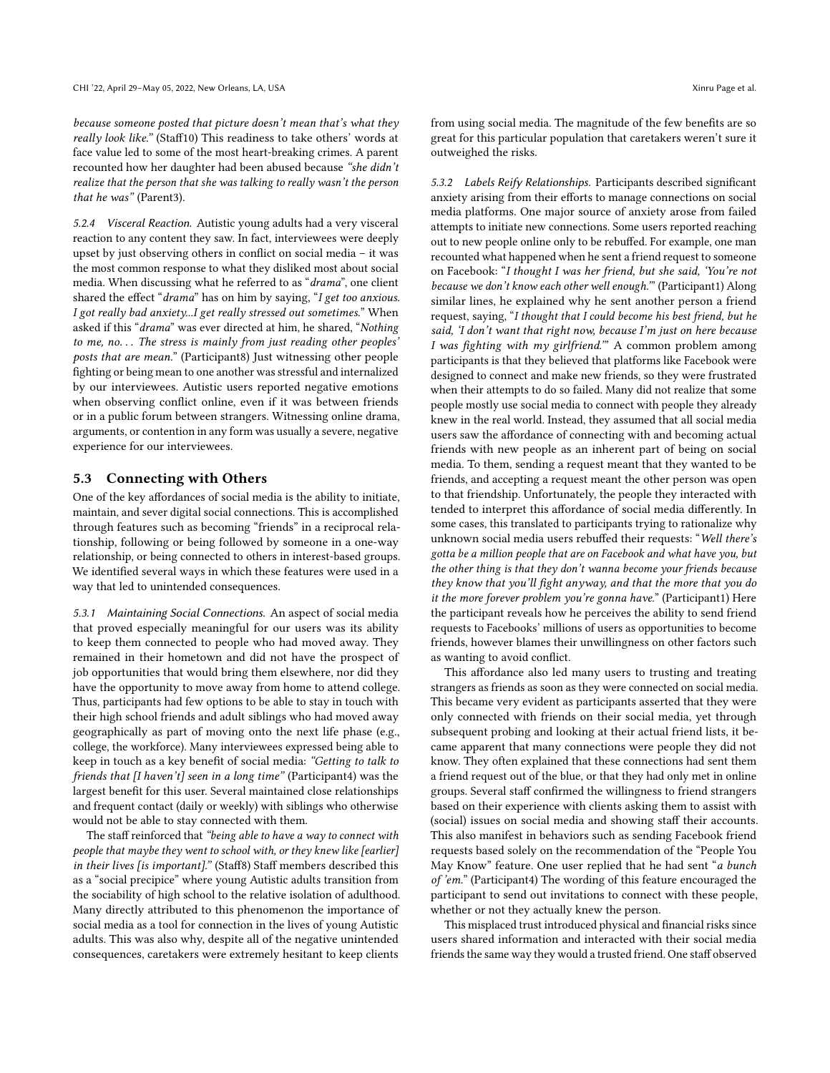because someone posted that picture doesn't mean that's what they really look like." (Staff10) This readiness to take others' words at face value led to some of the most heart-breaking crimes. A parent recounted how her daughter had been abused because "she didn't realize that the person that she was talking to really wasn't the person that he was" (Parent3).

5.2.4 Visceral Reaction. Autistic young adults had a very visceral reaction to any content they saw. In fact, interviewees were deeply upset by just observing others in conflict on social media – it was the most common response to what they disliked most about social media. When discussing what he referred to as "drama", one client shared the effect "drama" has on him by saying, "I get too anxious. I got really bad anxiety...I get really stressed out sometimes." When asked if this "drama" was ever directed at him, he shared, "Nothing to me, no. . . The stress is mainly from just reading other peoples' posts that are mean." (Participant8) Just witnessing other people fighting or being mean to one another was stressful and internalized by our interviewees. Autistic users reported negative emotions when observing conflict online, even if it was between friends or in a public forum between strangers. Witnessing online drama, arguments, or contention in any form was usually a severe, negative experience for our interviewees.

### 5.3 Connecting with Others

One of the key affordances of social media is the ability to initiate, maintain, and sever digital social connections. This is accomplished through features such as becoming "friends" in a reciprocal relationship, following or being followed by someone in a one-way relationship, or being connected to others in interest-based groups. We identified several ways in which these features were used in a way that led to unintended consequences.

5.3.1 Maintaining Social Connections. An aspect of social media that proved especially meaningful for our users was its ability to keep them connected to people who had moved away. They remained in their hometown and did not have the prospect of job opportunities that would bring them elsewhere, nor did they have the opportunity to move away from home to attend college. Thus, participants had few options to be able to stay in touch with their high school friends and adult siblings who had moved away geographically as part of moving onto the next life phase (e.g., college, the workforce). Many interviewees expressed being able to keep in touch as a key benefit of social media: "Getting to talk to friends that [I haven't] seen in a long time" (Participant4) was the largest benefit for this user. Several maintained close relationships and frequent contact (daily or weekly) with siblings who otherwise would not be able to stay connected with them.

The staff reinforced that "being able to have a way to connect with people that maybe they went to school with, or they knew like [earlier] in their lives [is important]." (Staff8) Staff members described this as a "social precipice" where young Autistic adults transition from the sociability of high school to the relative isolation of adulthood. Many directly attributed to this phenomenon the importance of social media as a tool for connection in the lives of young Autistic adults. This was also why, despite all of the negative unintended consequences, caretakers were extremely hesitant to keep clients

from using social media. The magnitude of the few benefits are so great for this particular population that caretakers weren't sure it outweighed the risks.

5.3.2 Labels Reify Relationships. Participants described significant anxiety arising from their efforts to manage connections on social media platforms. One major source of anxiety arose from failed attempts to initiate new connections. Some users reported reaching out to new people online only to be rebuffed. For example, one man recounted what happened when he sent a friend request to someone on Facebook: "I thought I was her friend, but she said, 'You're not because we don't know each other well enough.'" (Participant1) Along similar lines, he explained why he sent another person a friend request, saying, "I thought that I could become his best friend, but he said, 'I don't want that right now, because I'm just on here because I was fighting with my girlfriend.'" A common problem among participants is that they believed that platforms like Facebook were designed to connect and make new friends, so they were frustrated when their attempts to do so failed. Many did not realize that some people mostly use social media to connect with people they already knew in the real world. Instead, they assumed that all social media users saw the affordance of connecting with and becoming actual friends with new people as an inherent part of being on social media. To them, sending a request meant that they wanted to be friends, and accepting a request meant the other person was open to that friendship. Unfortunately, the people they interacted with tended to interpret this affordance of social media differently. In some cases, this translated to participants trying to rationalize why unknown social media users rebuffed their requests: "Well there's gotta be a million people that are on Facebook and what have you, but the other thing is that they don't wanna become your friends because they know that you'll fight anyway, and that the more that you do it the more forever problem you're gonna have." (Participant1) Here the participant reveals how he perceives the ability to send friend requests to Facebooks' millions of users as opportunities to become friends, however blames their unwillingness on other factors such as wanting to avoid conflict.

This affordance also led many users to trusting and treating strangers as friends as soon as they were connected on social media. This became very evident as participants asserted that they were only connected with friends on their social media, yet through subsequent probing and looking at their actual friend lists, it became apparent that many connections were people they did not know. They often explained that these connections had sent them a friend request out of the blue, or that they had only met in online groups. Several staff confirmed the willingness to friend strangers based on their experience with clients asking them to assist with (social) issues on social media and showing staff their accounts. This also manifest in behaviors such as sending Facebook friend requests based solely on the recommendation of the "People You May Know" feature. One user replied that he had sent "a bunch of 'em." (Participant4) The wording of this feature encouraged the participant to send out invitations to connect with these people, whether or not they actually knew the person.

This misplaced trust introduced physical and financial risks since users shared information and interacted with their social media friends the same way they would a trusted friend. One staff observed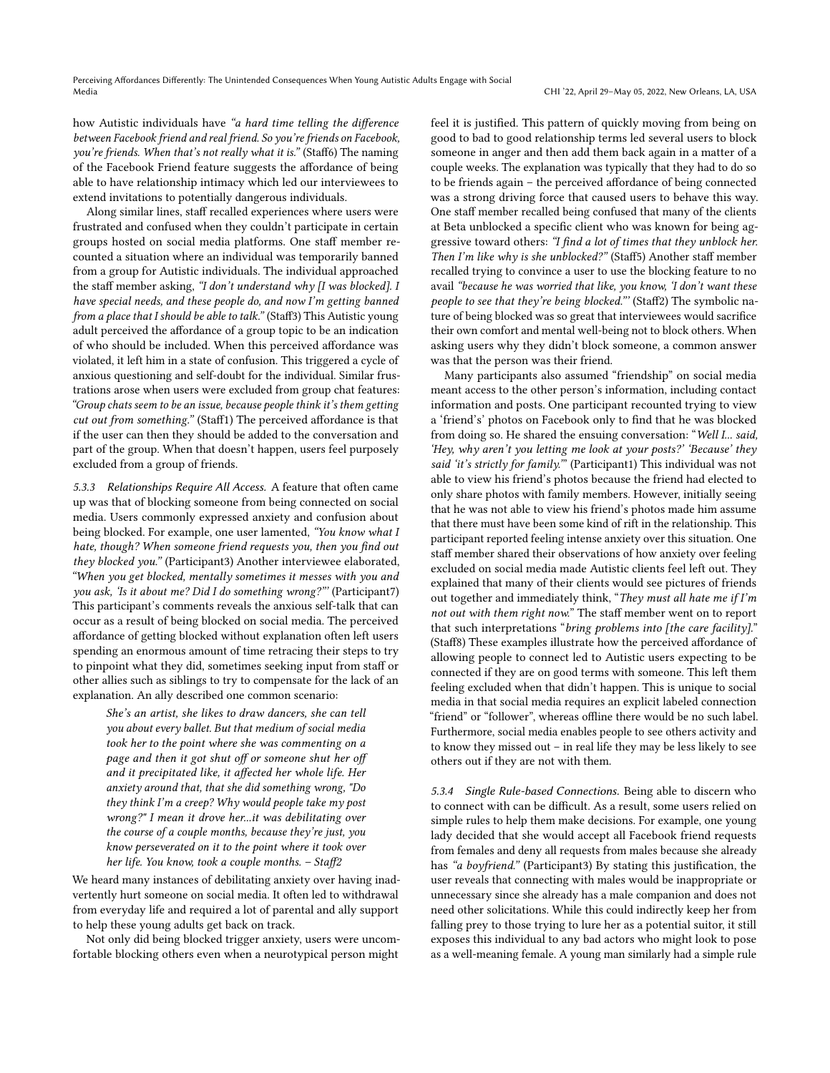how Autistic individuals have "a hard time telling the difference between Facebook friend and real friend. So you're friends on Facebook, you're friends. When that's not really what it is." (Staff6) The naming of the Facebook Friend feature suggests the affordance of being able to have relationship intimacy which led our interviewees to extend invitations to potentially dangerous individuals.

Along similar lines, staff recalled experiences where users were frustrated and confused when they couldn't participate in certain groups hosted on social media platforms. One staff member recounted a situation where an individual was temporarily banned from a group for Autistic individuals. The individual approached the staff member asking, "I don't understand why  $[I$  was blocked]. I have special needs, and these people do, and now I'm getting banned from a place that I should be able to talk." (Staff3) This Autistic young adult perceived the affordance of a group topic to be an indication of who should be included. When this perceived affordance was violated, it left him in a state of confusion. This triggered a cycle of anxious questioning and self-doubt for the individual. Similar frustrations arose when users were excluded from group chat features: "Group chats seem to be an issue, because people think it's them getting cut out from something." (Staff1) The perceived affordance is that if the user can then they should be added to the conversation and part of the group. When that doesn't happen, users feel purposely excluded from a group of friends.

5.3.3 Relationships Require All Access. A feature that often came up was that of blocking someone from being connected on social media. Users commonly expressed anxiety and confusion about being blocked. For example, one user lamented, "You know what I hate, though? When someone friend requests you, then you find out they blocked you." (Participant3) Another interviewee elaborated, "When you get blocked, mentally sometimes it messes with you and you ask, 'Is it about me? Did I do something wrong?"' (Participant7) This participant's comments reveals the anxious self-talk that can occur as a result of being blocked on social media. The perceived affordance of getting blocked without explanation often left users spending an enormous amount of time retracing their steps to try to pinpoint what they did, sometimes seeking input from staff or other allies such as siblings to try to compensate for the lack of an explanation. An ally described one common scenario:

She's an artist, she likes to draw dancers, she can tell you about every ballet. But that medium of social media took her to the point where she was commenting on a page and then it got shut off or someone shut her off and it precipitated like, it affected her whole life. Her anxiety around that, that she did something wrong, "Do they think I'm a creep? Why would people take my post wrong?" I mean it drove her...it was debilitating over the course of a couple months, because they're just, you know perseverated on it to the point where it took over her life. You know, took a couple months. – Staff2

We heard many instances of debilitating anxiety over having inadvertently hurt someone on social media. It often led to withdrawal from everyday life and required a lot of parental and ally support to help these young adults get back on track.

Not only did being blocked trigger anxiety, users were uncomfortable blocking others even when a neurotypical person might

feel it is justified. This pattern of quickly moving from being on good to bad to good relationship terms led several users to block someone in anger and then add them back again in a matter of a couple weeks. The explanation was typically that they had to do so to be friends again – the perceived affordance of being connected was a strong driving force that caused users to behave this way. One staff member recalled being confused that many of the clients at Beta unblocked a specific client who was known for being aggressive toward others: "I find a lot of times that they unblock her. Then I'm like why is she unblocked?" (Staff5) Another staff member recalled trying to convince a user to use the blocking feature to no avail "because he was worried that like, you know, 'I don't want these people to see that they're being blocked."' (Staff2) The symbolic nature of being blocked was so great that interviewees would sacrifice their own comfort and mental well-being not to block others. When asking users why they didn't block someone, a common answer was that the person was their friend.

Many participants also assumed "friendship" on social media meant access to the other person's information, including contact information and posts. One participant recounted trying to view a 'friend's' photos on Facebook only to find that he was blocked from doing so. He shared the ensuing conversation: "Well I... said, 'Hey, why aren't you letting me look at your posts?' 'Because' they said 'it's strictly for family."" (Participant1) This individual was not able to view his friend's photos because the friend had elected to only share photos with family members. However, initially seeing that he was not able to view his friend's photos made him assume that there must have been some kind of rift in the relationship. This participant reported feeling intense anxiety over this situation. One staff member shared their observations of how anxiety over feeling excluded on social media made Autistic clients feel left out. They explained that many of their clients would see pictures of friends out together and immediately think, "They must all hate me if I'm not out with them right now." The staff member went on to report that such interpretations "bring problems into [the care facility]." (Staff8) These examples illustrate how the perceived affordance of allowing people to connect led to Autistic users expecting to be connected if they are on good terms with someone. This left them feeling excluded when that didn't happen. This is unique to social media in that social media requires an explicit labeled connection "friend" or "follower", whereas offline there would be no such label. Furthermore, social media enables people to see others activity and to know they missed out – in real life they may be less likely to see others out if they are not with them.

5.3.4 Single Rule-based Connections. Being able to discern who to connect with can be difficult. As a result, some users relied on simple rules to help them make decisions. For example, one young lady decided that she would accept all Facebook friend requests from females and deny all requests from males because she already has "a boyfriend." (Participant3) By stating this justification, the user reveals that connecting with males would be inappropriate or unnecessary since she already has a male companion and does not need other solicitations. While this could indirectly keep her from falling prey to those trying to lure her as a potential suitor, it still exposes this individual to any bad actors who might look to pose as a well-meaning female. A young man similarly had a simple rule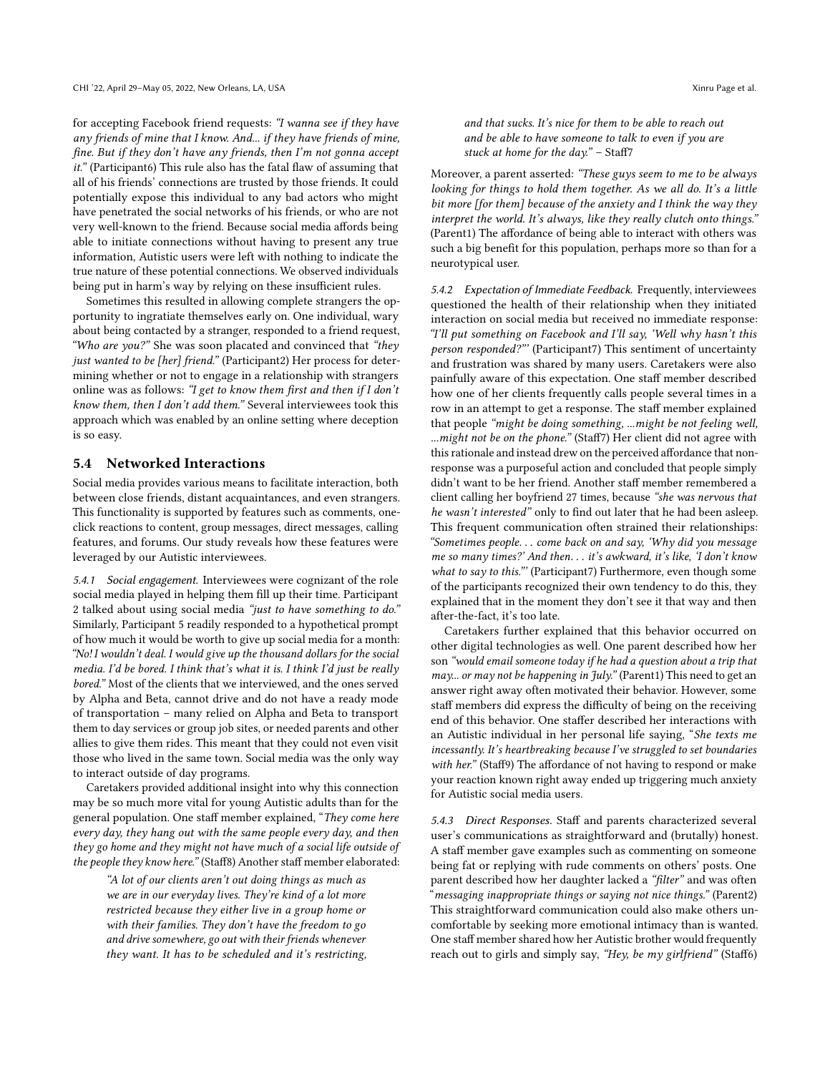for accepting Facebook friend requests: "I wanna see if they have any friends of mine that I know. And... if they have friends of mine, fine. But if they don't have any friends, then I'm not gonna accept it." (Participant6) This rule also has the fatal flaw of assuming that all of his friends' connections are trusted by those friends. It could potentially expose this individual to any bad actors who might have penetrated the social networks of his friends, or who are not very well-known to the friend. Because social media affords being able to initiate connections without having to present any true information, Autistic users were left with nothing to indicate the true nature of these potential connections. We observed individuals being put in harm's way by relying on these insufficient rules.

Sometimes this resulted in allowing complete strangers the opportunity to ingratiate themselves early on. One individual, wary about being contacted by a stranger, responded to a friend request, "Who are you?" She was soon placated and convinced that "they just wanted to be [her] friend." (Participant2) Her process for determining whether or not to engage in a relationship with strangers online was as follows: "I get to know them first and then if I don't know them, then I don't add them." Several interviewees took this approach which was enabled by an online setting where deception is so easy.

### 5.4 Networked Interactions

Social media provides various means to facilitate interaction, both between close friends, distant acquaintances, and even strangers. This functionality is supported by features such as comments, oneclick reactions to content, group messages, direct messages, calling features, and forums. Our study reveals how these features were leveraged by our Autistic interviewees.

5.4.1 Social engagement. Interviewees were cognizant of the role social media played in helping them fill up their time. Participant 2 talked about using social media "just to have something to do." Similarly, Participant 5 readily responded to a hypothetical prompt of how much it would be worth to give up social media for a month: "No! I wouldn't deal. I would give up the thousand dollars for the social media. I'd be bored. I think that's what it is. I think I'd just be really bored." Most of the clients that we interviewed, and the ones served by Alpha and Beta, cannot drive and do not have a ready mode of transportation – many relied on Alpha and Beta to transport them to day services or group job sites, or needed parents and other allies to give them rides. This meant that they could not even visit those who lived in the same town. Social media was the only way to interact outside of day programs.

Caretakers provided additional insight into why this connection may be so much more vital for young Autistic adults than for the general population. One staff member explained, "They come here every day, they hang out with the same people every day, and then they go home and they might not have much of a social life outside of the people they know here." (Staff8) Another staff member elaborated:

"A lot of our clients aren't out doing things as much as we are in our everyday lives. They're kind of a lot more restricted because they either live in a group home or with their families. They don't have the freedom to go and drive somewhere, go out with their friends whenever they want. It has to be scheduled and it's restricting, and that sucks. It's nice for them to be able to reach out and be able to have someone to talk to even if you are stuck at home for the day." - Staff7

Moreover, a parent asserted: "These guys seem to me to be always looking for things to hold them together. As we all do. It's a little bit more [for them] because of the anxiety and I think the way they interpret the world. It's always, like they really clutch onto things." (Parent1) The affordance of being able to interact with others was such a big benefit for this population, perhaps more so than for a neurotypical user.

5.4.2 Expectation of Immediate Feedback. Frequently, interviewees questioned the health of their relationship when they initiated interaction on social media but received no immediate response: "I'll put something on Facebook and I'll say, 'Well why hasn't this person responded?"' (Participant7) This sentiment of uncertainty and frustration was shared by many users. Caretakers were also painfully aware of this expectation. One staff member described how one of her clients frequently calls people several times in a row in an attempt to get a response. The staff member explained that people "might be doing something, ...might be not feeling well, ...might not be on the phone." (Staff7) Her client did not agree with this rationale and instead drew on the perceived affordance that nonresponse was a purposeful action and concluded that people simply didn't want to be her friend. Another staff member remembered a client calling her boyfriend 27 times, because "she was nervous that he wasn't interested" only to find out later that he had been asleep. This frequent communication often strained their relationships: "Sometimes people. . . come back on and say, 'Why did you message me so many times?' And then. . . it's awkward, it's like, 'I don't know what to say to this."' (Participant7) Furthermore, even though some of the participants recognized their own tendency to do this, they explained that in the moment they don't see it that way and then after-the-fact, it's too late.

Caretakers further explained that this behavior occurred on other digital technologies as well. One parent described how her son "would email someone today if he had a question about a trip that may... or may not be happening in July." (Parent1) This need to get an answer right away often motivated their behavior. However, some staff members did express the difficulty of being on the receiving end of this behavior. One staffer described her interactions with an Autistic individual in her personal life saying, "She texts me incessantly. It's heartbreaking because I've struggled to set boundaries with her." (Staff9) The affordance of not having to respond or make your reaction known right away ended up triggering much anxiety for Autistic social media users.

5.4.3 Direct Responses. Staff and parents characterized several user's communications as straightforward and (brutally) honest. A staff member gave examples such as commenting on someone being fat or replying with rude comments on others' posts. One parent described how her daughter lacked a "filter" and was often "messaging inappropriate things or saying not nice things." (Parent2) This straightforward communication could also make others uncomfortable by seeking more emotional intimacy than is wanted. One staff member shared how her Autistic brother would frequently reach out to girls and simply say, "Hey, be my girlfriend" (Staff6)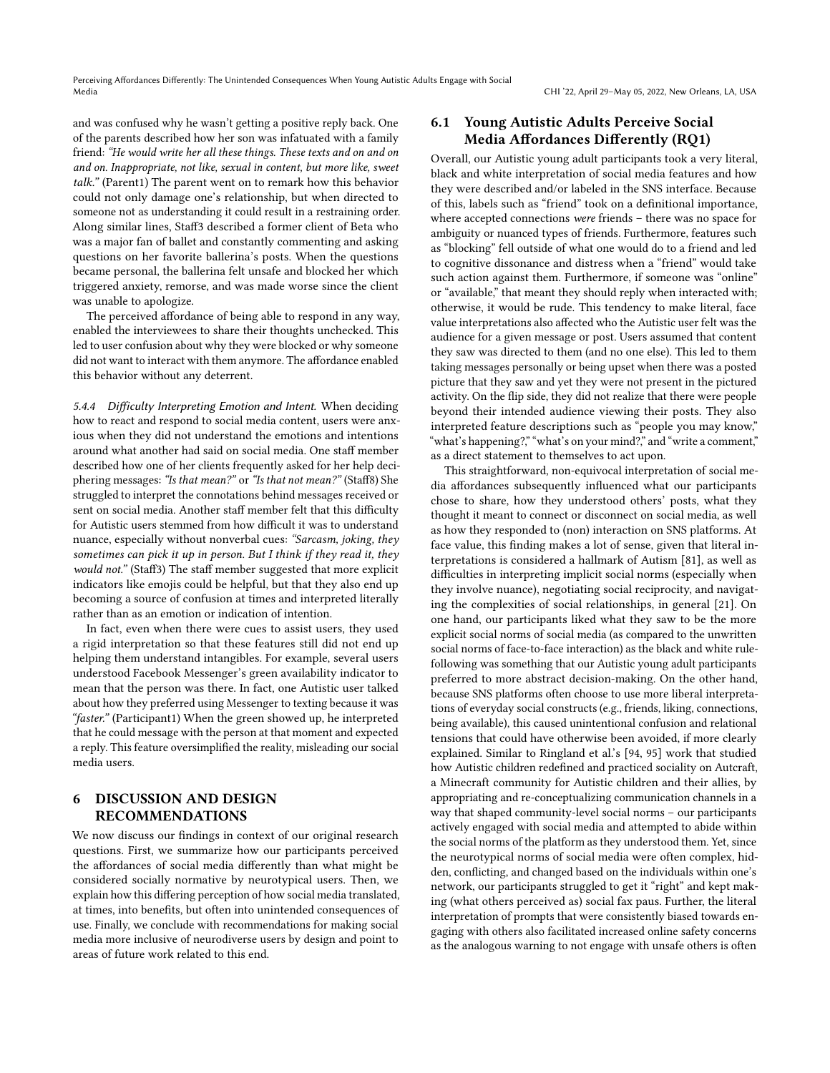and was confused why he wasn't getting a positive reply back. One of the parents described how her son was infatuated with a family friend: "He would write her all these things. These texts and on and on and on. Inappropriate, not like, sexual in content, but more like, sweet talk." (Parent1) The parent went on to remark how this behavior could not only damage one's relationship, but when directed to someone not as understanding it could result in a restraining order. Along similar lines, Staff3 described a former client of Beta who was a major fan of ballet and constantly commenting and asking questions on her favorite ballerina's posts. When the questions became personal, the ballerina felt unsafe and blocked her which triggered anxiety, remorse, and was made worse since the client was unable to apologize.

The perceived affordance of being able to respond in any way, enabled the interviewees to share their thoughts unchecked. This led to user confusion about why they were blocked or why someone did not want to interact with them anymore. The affordance enabled this behavior without any deterrent.

5.4.4 Difficulty Interpreting Emotion and Intent. When deciding how to react and respond to social media content, users were anxious when they did not understand the emotions and intentions around what another had said on social media. One staff member described how one of her clients frequently asked for her help deciphering messages: "Is that mean?" or "Is that not mean?" (Staff8) She struggled to interpret the connotations behind messages received or sent on social media. Another staff member felt that this difficulty for Autistic users stemmed from how difficult it was to understand nuance, especially without nonverbal cues: "Sarcasm, joking, they sometimes can pick it up in person. But I think if they read it, they would not." (Staff3) The staff member suggested that more explicit indicators like emojis could be helpful, but that they also end up becoming a source of confusion at times and interpreted literally rather than as an emotion or indication of intention.

In fact, even when there were cues to assist users, they used a rigid interpretation so that these features still did not end up helping them understand intangibles. For example, several users understood Facebook Messenger's green availability indicator to mean that the person was there. In fact, one Autistic user talked about how they preferred using Messenger to texting because it was "faster." (Participant1) When the green showed up, he interpreted that he could message with the person at that moment and expected a reply. This feature oversimplified the reality, misleading our social media users.

# 6 DISCUSSION AND DESIGN RECOMMENDATIONS

We now discuss our findings in context of our original research questions. First, we summarize how our participants perceived the affordances of social media differently than what might be considered socially normative by neurotypical users. Then, we explain how this differing perception of how social media translated, at times, into benefits, but often into unintended consequences of use. Finally, we conclude with recommendations for making social media more inclusive of neurodiverse users by design and point to areas of future work related to this end.

# 6.1 Young Autistic Adults Perceive Social Media Affordances Differently (RQ1)

Overall, our Autistic young adult participants took a very literal, black and white interpretation of social media features and how they were described and/or labeled in the SNS interface. Because of this, labels such as "friend" took on a definitional importance, where accepted connections were friends – there was no space for ambiguity or nuanced types of friends. Furthermore, features such as "blocking" fell outside of what one would do to a friend and led to cognitive dissonance and distress when a "friend" would take such action against them. Furthermore, if someone was "online" or "available," that meant they should reply when interacted with; otherwise, it would be rude. This tendency to make literal, face value interpretations also affected who the Autistic user felt was the audience for a given message or post. Users assumed that content they saw was directed to them (and no one else). This led to them taking messages personally or being upset when there was a posted picture that they saw and yet they were not present in the pictured activity. On the flip side, they did not realize that there were people beyond their intended audience viewing their posts. They also interpreted feature descriptions such as "people you may know," "what's happening?," "what's on your mind?," and "write a comment," as a direct statement to themselves to act upon.

This straightforward, non-equivocal interpretation of social media affordances subsequently influenced what our participants chose to share, how they understood others' posts, what they thought it meant to connect or disconnect on social media, as well as how they responded to (non) interaction on SNS platforms. At face value, this finding makes a lot of sense, given that literal interpretations is considered a hallmark of Autism [\[81\]](#page-19-35), as well as difficulties in interpreting implicit social norms (especially when they involve nuance), negotiating social reciprocity, and navigating the complexities of social relationships, in general [\[21\]](#page-17-11). On one hand, our participants liked what they saw to be the more explicit social norms of social media (as compared to the unwritten social norms of face-to-face interaction) as the black and white rulefollowing was something that our Autistic young adult participants preferred to more abstract decision-making. On the other hand, because SNS platforms often choose to use more liberal interpretations of everyday social constructs (e.g., friends, liking, connections, being available), this caused unintentional confusion and relational tensions that could have otherwise been avoided, if more clearly explained. Similar to Ringland et al.'s [\[94,](#page-19-26) [95\]](#page-19-27) work that studied how Autistic children redefined and practiced sociality on Autcraft, a Minecraft community for Autistic children and their allies, by appropriating and re-conceptualizing communication channels in a way that shaped community-level social norms – our participants actively engaged with social media and attempted to abide within the social norms of the platform as they understood them. Yet, since the neurotypical norms of social media were often complex, hidden, conflicting, and changed based on the individuals within one's network, our participants struggled to get it "right" and kept making (what others perceived as) social fax paus. Further, the literal interpretation of prompts that were consistently biased towards engaging with others also facilitated increased online safety concerns as the analogous warning to not engage with unsafe others is often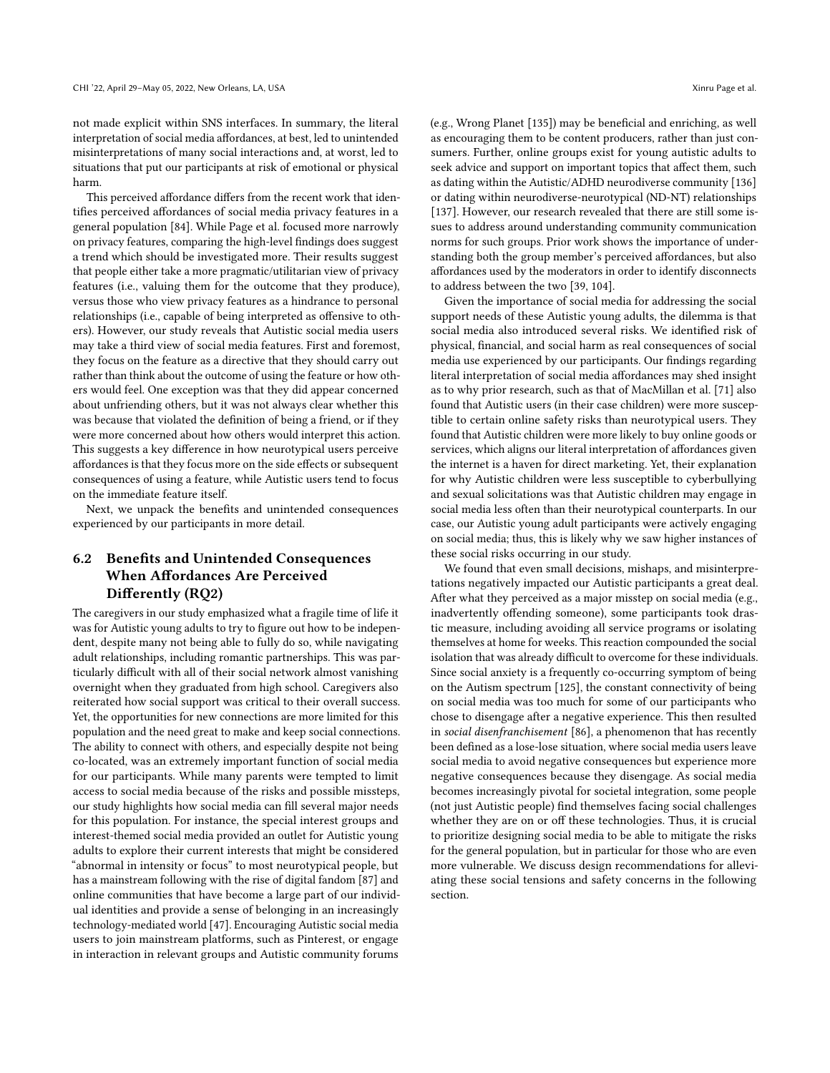not made explicit within SNS interfaces. In summary, the literal interpretation of social media affordances, at best, led to unintended misinterpretations of many social interactions and, at worst, led to situations that put our participants at risk of emotional or physical harm.

This perceived affordance differs from the recent work that identifies perceived affordances of social media privacy features in a general population [\[84\]](#page-19-5). While Page et al. focused more narrowly on privacy features, comparing the high-level findings does suggest a trend which should be investigated more. Their results suggest that people either take a more pragmatic/utilitarian view of privacy features (i.e., valuing them for the outcome that they produce), versus those who view privacy features as a hindrance to personal relationships (i.e., capable of being interpreted as offensive to others). However, our study reveals that Autistic social media users may take a third view of social media features. First and foremost, they focus on the feature as a directive that they should carry out rather than think about the outcome of using the feature or how others would feel. One exception was that they did appear concerned about unfriending others, but it was not always clear whether this was because that violated the definition of being a friend, or if they were more concerned about how others would interpret this action. This suggests a key difference in how neurotypical users perceive affordances is that they focus more on the side effects or subsequent consequences of using a feature, while Autistic users tend to focus on the immediate feature itself.

Next, we unpack the benefits and unintended consequences experienced by our participants in more detail.

# 6.2 Benefits and Unintended Consequences When Affordances Are Perceived Differently (RQ2)

The caregivers in our study emphasized what a fragile time of life it was for Autistic young adults to try to figure out how to be independent, despite many not being able to fully do so, while navigating adult relationships, including romantic partnerships. This was particularly difficult with all of their social network almost vanishing overnight when they graduated from high school. Caregivers also reiterated how social support was critical to their overall success. Yet, the opportunities for new connections are more limited for this population and the need great to make and keep social connections. The ability to connect with others, and especially despite not being co-located, was an extremely important function of social media for our participants. While many parents were tempted to limit access to social media because of the risks and possible missteps, our study highlights how social media can fill several major needs for this population. For instance, the special interest groups and interest-themed social media provided an outlet for Autistic young adults to explore their current interests that might be considered "abnormal in intensity or focus" to most neurotypical people, but has a mainstream following with the rise of digital fandom [\[87\]](#page-19-36) and online communities that have become a large part of our individual identities and provide a sense of belonging in an increasingly technology-mediated world [\[47\]](#page-18-36). Encouraging Autistic social media users to join mainstream platforms, such as Pinterest, or engage in interaction in relevant groups and Autistic community forums

(e.g., Wrong Planet [\[135\]](#page-20-23)) may be beneficial and enriching, as well as encouraging them to be content producers, rather than just consumers. Further, online groups exist for young autistic adults to seek advice and support on important topics that affect them, such as dating within the Autistic/ADHD neurodiverse community [\[136\]](#page-20-27) or dating within neurodiverse-neurotypical (ND-NT) relationships [\[137\]](#page-20-28). However, our research revealed that there are still some issues to address around understanding community communication norms for such groups. Prior work shows the importance of understanding both the group member's perceived affordances, but also affordances used by the moderators in order to identify disconnects to address between the two [\[39,](#page-18-37) [104\]](#page-19-37).

Given the importance of social media for addressing the social support needs of these Autistic young adults, the dilemma is that social media also introduced several risks. We identified risk of physical, financial, and social harm as real consequences of social media use experienced by our participants. Our findings regarding literal interpretation of social media affordances may shed insight as to why prior research, such as that of MacMillan et al. [\[71\]](#page-19-25) also found that Autistic users (in their case children) were more susceptible to certain online safety risks than neurotypical users. They found that Autistic children were more likely to buy online goods or services, which aligns our literal interpretation of affordances given the internet is a haven for direct marketing. Yet, their explanation for why Autistic children were less susceptible to cyberbullying and sexual solicitations was that Autistic children may engage in social media less often than their neurotypical counterparts. In our case, our Autistic young adult participants were actively engaging on social media; thus, this is likely why we saw higher instances of these social risks occurring in our study.

We found that even small decisions, mishaps, and misinterpretations negatively impacted our Autistic participants a great deal. After what they perceived as a major misstep on social media (e.g., inadvertently offending someone), some participants took drastic measure, including avoiding all service programs or isolating themselves at home for weeks. This reaction compounded the social isolation that was already difficult to overcome for these individuals. Since social anxiety is a frequently co-occurring symptom of being on the Autism spectrum [\[125\]](#page-20-29), the constant connectivity of being on social media was too much for some of our participants who chose to disengage after a negative experience. This then resulted in social disenfranchisement [\[86\]](#page-19-38), a phenomenon that has recently been defined as a lose-lose situation, where social media users leave social media to avoid negative consequences but experience more negative consequences because they disengage. As social media becomes increasingly pivotal for societal integration, some people (not just Autistic people) find themselves facing social challenges whether they are on or off these technologies. Thus, it is crucial to prioritize designing social media to be able to mitigate the risks for the general population, but in particular for those who are even more vulnerable. We discuss design recommendations for alleviating these social tensions and safety concerns in the following section.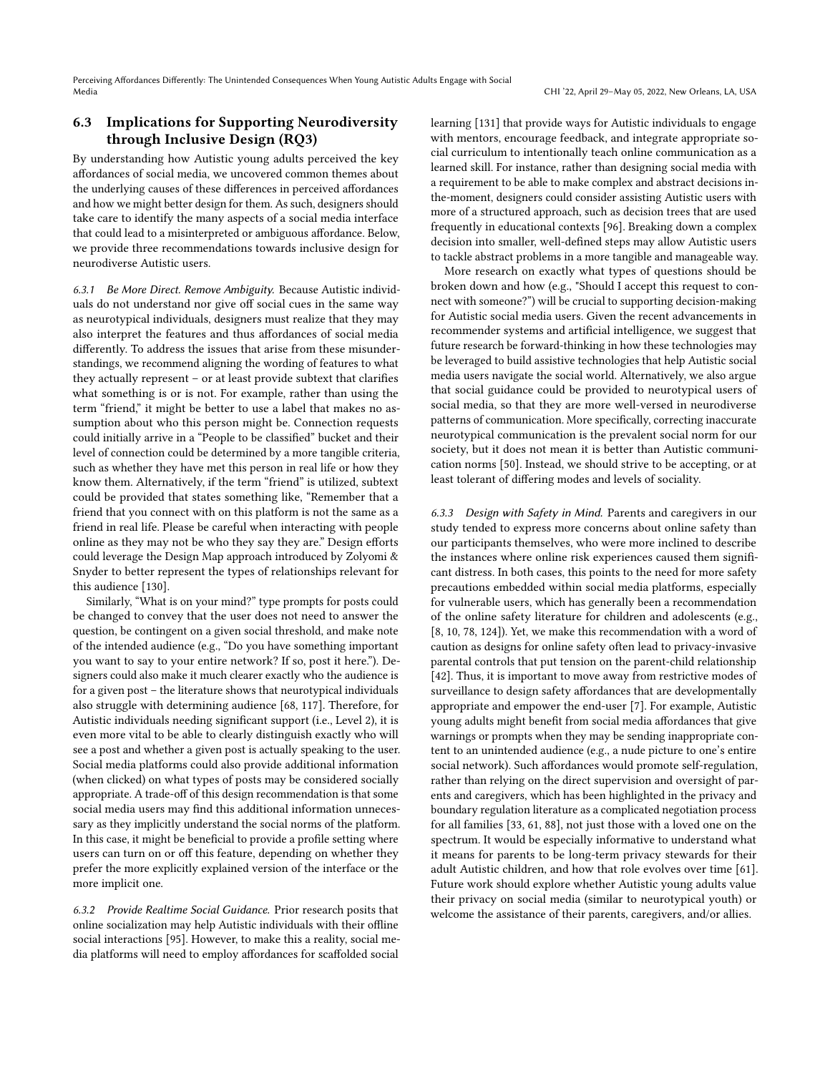# 6.3 Implications for Supporting Neurodiversity through Inclusive Design (RQ3)

By understanding how Autistic young adults perceived the key affordances of social media, we uncovered common themes about the underlying causes of these differences in perceived affordances and how we might better design for them. As such, designers should take care to identify the many aspects of a social media interface that could lead to a misinterpreted or ambiguous affordance. Below, we provide three recommendations towards inclusive design for neurodiverse Autistic users.

6.3.1 Be More Direct. Remove Ambiguity. Because Autistic individuals do not understand nor give off social cues in the same way as neurotypical individuals, designers must realize that they may also interpret the features and thus affordances of social media differently. To address the issues that arise from these misunderstandings, we recommend aligning the wording of features to what they actually represent – or at least provide subtext that clarifies what something is or is not. For example, rather than using the term "friend," it might be better to use a label that makes no assumption about who this person might be. Connection requests could initially arrive in a "People to be classified" bucket and their level of connection could be determined by a more tangible criteria, such as whether they have met this person in real life or how they know them. Alternatively, if the term "friend" is utilized, subtext could be provided that states something like, "Remember that a friend that you connect with on this platform is not the same as a friend in real life. Please be careful when interacting with people online as they may not be who they say they are." Design efforts could leverage the Design Map approach introduced by Zolyomi & Snyder to better represent the types of relationships relevant for this audience [\[130\]](#page-20-30).

Similarly, "What is on your mind?" type prompts for posts could be changed to convey that the user does not need to answer the question, be contingent on a given social threshold, and make note of the intended audience (e.g., "Do you have something important you want to say to your entire network? If so, post it here."). Designers could also make it much clearer exactly who the audience is for a given post – the literature shows that neurotypical individuals also struggle with determining audience [\[68,](#page-19-11) [117\]](#page-20-5). Therefore, for Autistic individuals needing significant support (i.e., Level 2), it is even more vital to be able to clearly distinguish exactly who will see a post and whether a given post is actually speaking to the user. Social media platforms could also provide additional information (when clicked) on what types of posts may be considered socially appropriate. A trade-off of this design recommendation is that some social media users may find this additional information unnecessary as they implicitly understand the social norms of the platform. In this case, it might be beneficial to provide a profile setting where users can turn on or off this feature, depending on whether they prefer the more explicitly explained version of the interface or the more implicit one.

6.3.2 Provide Realtime Social Guidance. Prior research posits that online socialization may help Autistic individuals with their offline social interactions [\[95\]](#page-19-27). However, to make this a reality, social media platforms will need to employ affordances for scaffolded social

learning [\[131\]](#page-20-31) that provide ways for Autistic individuals to engage with mentors, encourage feedback, and integrate appropriate social curriculum to intentionally teach online communication as a learned skill. For instance, rather than designing social media with a requirement to be able to make complex and abstract decisions inthe-moment, designers could consider assisting Autistic users with more of a structured approach, such as decision trees that are used frequently in educational contexts [\[96\]](#page-19-39). Breaking down a complex decision into smaller, well-defined steps may allow Autistic users to tackle abstract problems in a more tangible and manageable way.

More research on exactly what types of questions should be broken down and how (e.g., "Should I accept this request to connect with someone?") will be crucial to supporting decision-making for Autistic social media users. Given the recent advancements in recommender systems and artificial intelligence, we suggest that future research be forward-thinking in how these technologies may be leveraged to build assistive technologies that help Autistic social media users navigate the social world. Alternatively, we also argue that social guidance could be provided to neurotypical users of social media, so that they are more well-versed in neurodiverse patterns of communication. More specifically, correcting inaccurate neurotypical communication is the prevalent social norm for our society, but it does not mean it is better than Autistic communication norms [\[50\]](#page-18-38). Instead, we should strive to be accepting, or at least tolerant of differing modes and levels of sociality.

6.3.3 Design with Safety in Mind. Parents and caregivers in our study tended to express more concerns about online safety than our participants themselves, who were more inclined to describe the instances where online risk experiences caused them significant distress. In both cases, this points to the need for more safety precautions embedded within social media platforms, especially for vulnerable users, which has generally been a recommendation of the online safety literature for children and adolescents (e.g., [\[8,](#page-17-19) [10,](#page-17-20) [78,](#page-19-40) [124\]](#page-20-32)). Yet, we make this recommendation with a word of caution as designs for online safety often lead to privacy-invasive parental controls that put tension on the parent-child relationship [\[42\]](#page-18-39). Thus, it is important to move away from restrictive modes of surveillance to design safety affordances that are developmentally appropriate and empower the end-user [\[7\]](#page-17-0). For example, Autistic young adults might benefit from social media affordances that give warnings or prompts when they may be sending inappropriate content to an unintended audience (e.g., a nude picture to one's entire social network). Such affordances would promote self-regulation, rather than relying on the direct supervision and oversight of parents and caregivers, which has been highlighted in the privacy and boundary regulation literature as a complicated negotiation process for all families [\[33,](#page-18-40) [61,](#page-18-41) [88\]](#page-19-17), not just those with a loved one on the spectrum. It would be especially informative to understand what it means for parents to be long-term privacy stewards for their adult Autistic children, and how that role evolves over time [\[61\]](#page-18-41). Future work should explore whether Autistic young adults value their privacy on social media (similar to neurotypical youth) or welcome the assistance of their parents, caregivers, and/or allies.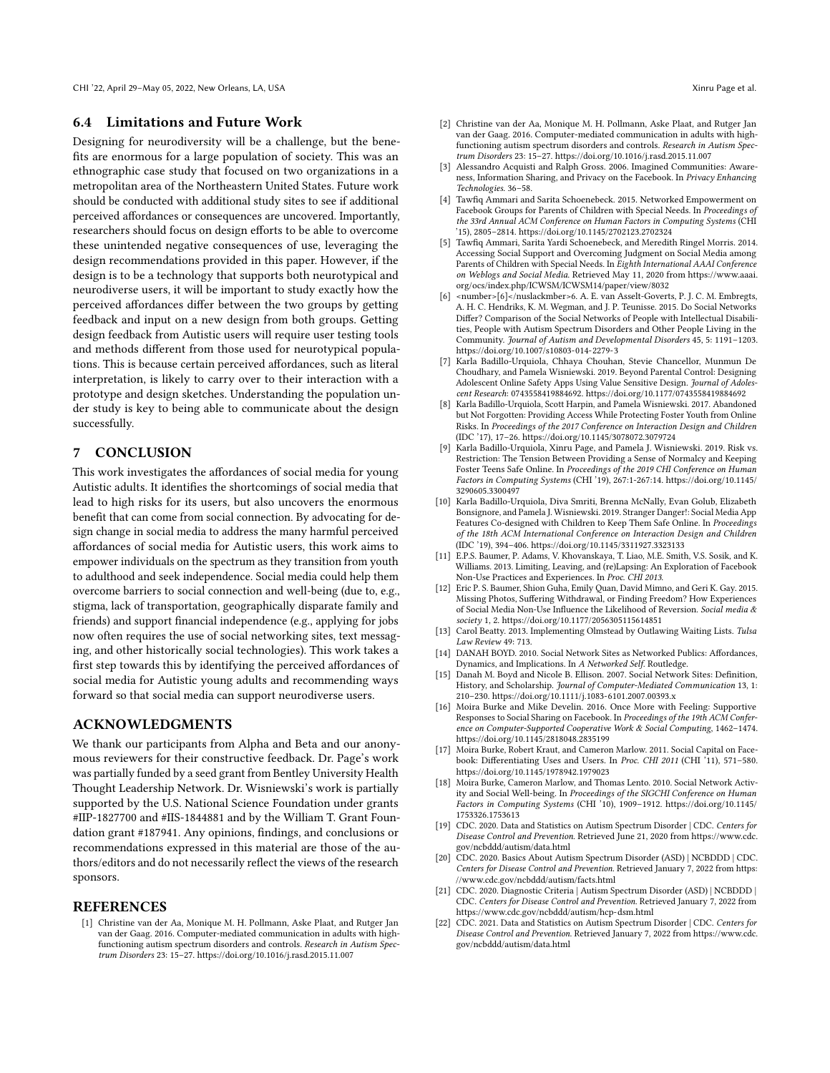CHI '22, April 29-May 05, 2022, New Orleans, LA, USA Xinru Page et al.

### 6.4 Limitations and Future Work

Designing for neurodiversity will be a challenge, but the benefits are enormous for a large population of society. This was an ethnographic case study that focused on two organizations in a metropolitan area of the Northeastern United States. Future work should be conducted with additional study sites to see if additional perceived affordances or consequences are uncovered. Importantly, researchers should focus on design efforts to be able to overcome these unintended negative consequences of use, leveraging the design recommendations provided in this paper. However, if the design is to be a technology that supports both neurotypical and neurodiverse users, it will be important to study exactly how the perceived affordances differ between the two groups by getting feedback and input on a new design from both groups. Getting design feedback from Autistic users will require user testing tools and methods different from those used for neurotypical populations. This is because certain perceived affordances, such as literal interpretation, is likely to carry over to their interaction with a prototype and design sketches. Understanding the population under study is key to being able to communicate about the design successfully.

# 7 CONCLUSION

This work investigates the affordances of social media for young Autistic adults. It identifies the shortcomings of social media that lead to high risks for its users, but also uncovers the enormous benefit that can come from social connection. By advocating for design change in social media to address the many harmful perceived affordances of social media for Autistic users, this work aims to empower individuals on the spectrum as they transition from youth to adulthood and seek independence. Social media could help them overcome barriers to social connection and well-being (due to, e.g., stigma, lack of transportation, geographically disparate family and friends) and support financial independence (e.g., applying for jobs now often requires the use of social networking sites, text messaging, and other historically social technologies). This work takes a first step towards this by identifying the perceived affordances of social media for Autistic young adults and recommending ways forward so that social media can support neurodiverse users.

### ACKNOWLEDGMENTS

We thank our participants from Alpha and Beta and our anonymous reviewers for their constructive feedback. Dr. Page's work was partially funded by a seed grant from Bentley University Health Thought Leadership Network. Dr. Wisniewski's work is partially supported by the U.S. National Science Foundation under grants #IIP-1827700 and #IIS-1844881 and by the William T. Grant Foundation grant #187941. Any opinions, findings, and conclusions or recommendations expressed in this material are those of the authors/editors and do not necessarily reflect the views of the research sponsors.

#### REFERENCES

<span id="page-17-2"></span>[1] Christine van der Aa, Monique M. H. Pollmann, Aske Plaat, and Rutger Jan van der Gaag. 2016. Computer-mediated communication in adults with highfunctioning autism spectrum disorders and controls. Research in Autism Spectrum Disorders 23: 15–27.<https://doi.org/10.1016/j.rasd.2015.11.007>

- <span id="page-17-18"></span>[2] Christine van der Aa, Monique M. H. Pollmann, Aske Plaat, and Rutger Jan van der Gaag. 2016. Computer-mediated communication in adults with highfunctioning autism spectrum disorders and controls. Research in Autism Spectrum Disorders 23: 15–27.<https://doi.org/10.1016/j.rasd.2015.11.007>
- <span id="page-17-5"></span>[3] Alessandro Acquisti and Ralph Gross. 2006. Imagined Communities: Awareness, Information Sharing, and Privacy on the Facebook. In Privacy Enhancing Technologies. 36–58.
- <span id="page-17-12"></span>[4] Tawfiq Ammari and Sarita Schoenebeck. 2015. Networked Empowerment on Facebook Groups for Parents of Children with Special Needs. In Proceedings of the 33rd Annual ACM Conference on Human Factors in Computing Systems (CHI '15), 2805–2814.<https://doi.org/10.1145/2702123.2702324>
- [5] Tawfiq Ammari, Sarita Yardi Schoenebeck, and Meredith Ringel Morris. 2014. Accessing Social Support and Overcoming Judgment on Social Media among Parents of Children with Special Needs. In Eighth International AAAI Conference on Weblogs and Social Media. Retrieved May 11, 2020 from [https://www.aaai.](https://www.aaai.org/ocs/index.php/ICWSM/ICWSM14/paper/view/8032) [org/ocs/index.php/ICWSM/ICWSM14/paper/view/8032](https://www.aaai.org/ocs/index.php/ICWSM/ICWSM14/paper/view/8032)
- <span id="page-17-13"></span>[6] <number>[6]</nuslackmber>6. A. E. van Asselt-Goverts, P. J. C. M. Embregts, A. H. C. Hendriks, K. M. Wegman, and J. P. Teunisse. 2015. Do Social Networks Differ? Comparison of the Social Networks of People with Intellectual Disabilities, People with Autism Spectrum Disorders and Other People Living in the Community. Journal of Autism and Developmental Disorders 45, 5: 1191–1203. <https://doi.org/10.1007/s10803-014-2279-3>
- <span id="page-17-0"></span>[7] Karla Badillo-Urquiola, Chhaya Chouhan, Stevie Chancellor, Munmun De Choudhary, and Pamela Wisniewski. 2019. Beyond Parental Control: Designing Adolescent Online Safety Apps Using Value Sensitive Design. Journal of Adolescent Research: 0743558419884692.<https://doi.org/10.1177/0743558419884692>
- <span id="page-17-19"></span>[8] Karla Badillo-Urquiola, Scott Harpin, and Pamela Wisniewski. 2017. Abandoned but Not Forgotten: Providing Access While Protecting Foster Youth from Online Risks. In Proceedings of the 2017 Conference on Interaction Design and Children (IDC '17), 17–26.<https://doi.org/10.1145/3078072.3079724>
- <span id="page-17-15"></span>[9] Karla Badillo-Urquiola, Xinru Page, and Pamela J. Wisniewski. 2019. Risk vs. Restriction: The Tension Between Providing a Sense of Normalcy and Keeping Foster Teens Safe Online. In Proceedings of the 2019 CHI Conference on Human Factors in Computing Systems (CHI '19), 267:1-267:14. [https://doi.org/10.1145/](https://doi.org/10.1145/3290605.3300497) [3290605.3300497](https://doi.org/10.1145/3290605.3300497)
- <span id="page-17-20"></span>[10] Karla Badillo-Urquiola, Diva Smriti, Brenna McNally, Evan Golub, Elizabeth Bonsignore, and Pamela J. Wisniewski. 2019. Stranger Danger!: Social Media App Features Co-designed with Children to Keep Them Safe Online. In Proceedings of the 18th ACM International Conference on Interaction Design and Children (IDC '19), 394–406.<https://doi.org/10.1145/3311927.3323133>
- <span id="page-17-1"></span>[11] E.P.S. Baumer, P. Adams, V. Khovanskaya, T. Liao, M.E. Smith, V.S. Sosik, and K. Williams. 2013. Limiting, Leaving, and (re)Lapsing: An Exploration of Facebook Non-Use Practices and Experiences. In Proc. CHI 2013.
- <span id="page-17-16"></span>[12] Eric P. S. Baumer, Shion Guha, Emily Quan, David Mimno, and Geri K. Gay. 2015. Missing Photos, Suffering Withdrawal, or Finding Freedom? How Experiences of Social Media Non-Use Influence the Likelihood of Reversion. Social media & society 1, 2.<https://doi.org/10.1177/2056305115614851>
- <span id="page-17-17"></span>[13] Carol Beatty. 2013. Implementing Olmstead by Outlawing Waiting Lists. Tulsa Law Review 49: 713.
- <span id="page-17-7"></span>[14] DANAH BOYD. 2010. Social Network Sites as Networked Publics: Affordances, Dynamics, and Implications. In A Networked Self. Routledge.
- <span id="page-17-3"></span>[15] Danah M. Boyd and Nicole B. Ellison. 2007. Social Network Sites: Definition, History, and Scholarship. Journal of Computer-Mediated Communication 13, 1: 210–230.<https://doi.org/10.1111/j.1083-6101.2007.00393.x>
- <span id="page-17-4"></span>[16] Moira Burke and Mike Develin. 2016. Once More with Feeling: Supportive Responses to Social Sharing on Facebook. In Proceedings of the 19th ACM Conference on Computer-Supported Cooperative Work & Social Computing, 1462–1474. <https://doi.org/10.1145/2818048.2835199>
- <span id="page-17-6"></span>[17] Moira Burke, Robert Kraut, and Cameron Marlow. 2011. Social Capital on Facebook: Differentiating Uses and Users. In Proc. CHI 2011 (CHI '11), 571-580. <https://doi.org/10.1145/1978942.1979023>
- <span id="page-17-14"></span>[18] Moira Burke, Cameron Marlow, and Thomas Lento. 2010. Social Network Activity and Social Well-being. In Proceedings of the SIGCHI Conference on Human Factors in Computing Systems (CHI '10), 1909–1912. [https://doi.org/10.1145/](https://doi.org/10.1145/1753326.1753613) [1753326.1753613](https://doi.org/10.1145/1753326.1753613)
- <span id="page-17-8"></span>[19] CDC. 2020. Data and Statistics on Autism Spectrum Disorder | CDC. Centers for Disease Control and Prevention. Retrieved June 21, 2020 from [https://www.cdc.](https://www.cdc.gov/ncbddd/autism/data.html) [gov/ncbddd/autism/data.html](https://www.cdc.gov/ncbddd/autism/data.html)
- <span id="page-17-9"></span>[20] CDC. 2020. Basics About Autism Spectrum Disorder (ASD) | NCBDDD | CDC. Centers for Disease Control and Prevention. Retrieved January 7, 2022 from [https:](https://www.cdc.gov/ncbddd/autism/facts.html) [//www.cdc.gov/ncbddd/autism/facts.html](https://www.cdc.gov/ncbddd/autism/facts.html)
- <span id="page-17-11"></span>[21] CDC. 2020. Diagnostic Criteria | Autism Spectrum Disorder (ASD) | NCBDDD | CDC. Centers for Disease Control and Prevention. Retrieved January 7, 2022 from <https://www.cdc.gov/ncbddd/autism/hcp-dsm.html>
- <span id="page-17-10"></span>[22] CDC. 2021. Data and Statistics on Autism Spectrum Disorder | CDC. Centers for Disease Control and Prevention. Retrieved January 7, 2022 from [https://www.cdc.](https://www.cdc.gov/ncbddd/autism/data.html) [gov/ncbddd/autism/data.html](https://www.cdc.gov/ncbddd/autism/data.html)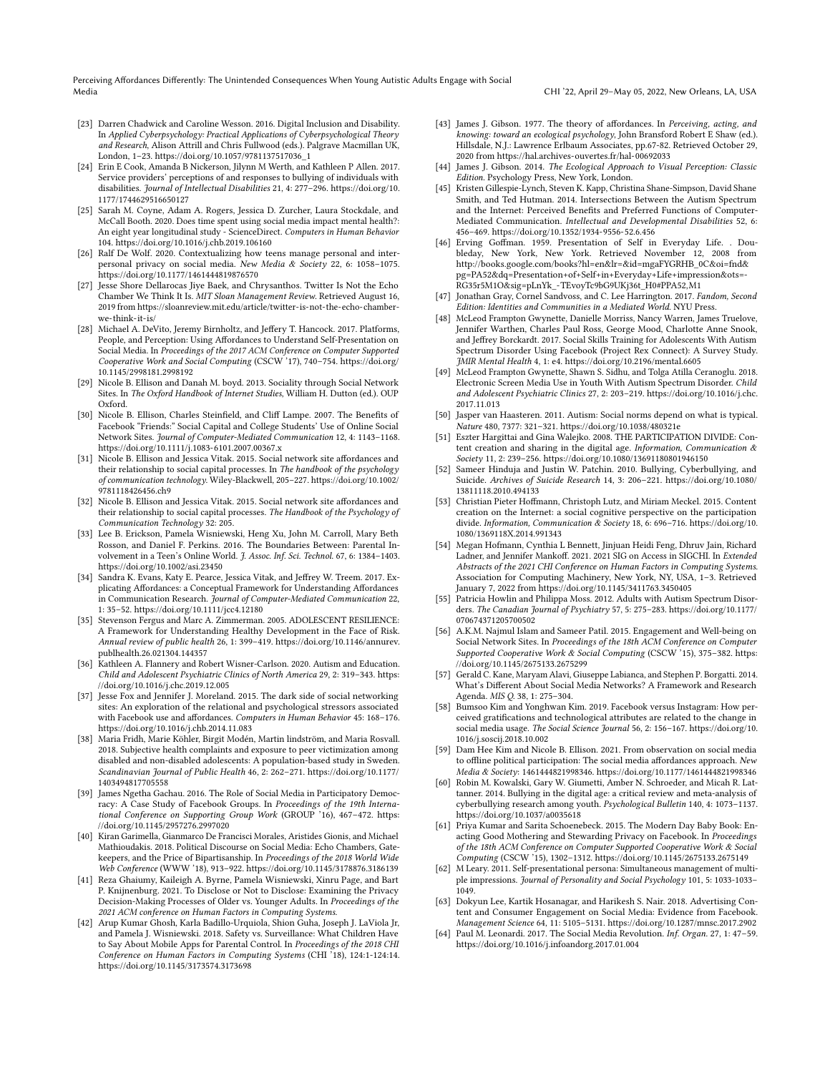Perceiving Affordances Differently: The Unintended Consequences When Young Autistic Adults Engage with Social Media CHI '22, April 29–May 05, 2022, New Orleans, LA, USA

- <span id="page-18-35"></span>[23] Darren Chadwick and Caroline Wesson. 2016. Digital Inclusion and Disability. In Applied Cyberpsychology: Practical Applications of Cyberpsychological Theory and Research, Alison Attrill and Chris Fullwood (eds.). Palgrave Macmillan UK, London, 1–23. [https://doi.org/10.1057/9781137517036\\_1](https://doi.org/10.1057/9781137517036_1)
- <span id="page-18-28"></span>[24] Erin E Cook, Amanda B Nickerson, Jilynn M Werth, and Kathleen P Allen. 2017. Service providers' perceptions of and responses to bullying of individuals with disabilities. Journal of Intellectual Disabilities 21, 4: 277–296. [https://doi.org/10.](https://doi.org/10.1177/1744629516650127) [1177/1744629516650127](https://doi.org/10.1177/1744629516650127)
- <span id="page-18-2"></span>[25] Sarah M. Coyne, Adam A. Rogers, Jessica D. Zurcher, Laura Stockdale, and McCall Booth. 2020. Does time spent using social media impact mental health?: An eight year longitudinal study - ScienceDirect. Computers in Human Behavior 104.<https://doi.org/10.1016/j.chb.2019.106160>
- <span id="page-18-21"></span>[26] Ralf De Wolf. 2020. Contextualizing how teens manage personal and interpersonal privacy on social media. New Media & Society 22, 6: 1058–1075. <https://doi.org/10.1177/1461444819876570>
- <span id="page-18-17"></span>[27] Jesse Shore Dellarocas Jiye Baek, and Chrysanthos. Twitter Is Not the Echo Chamber We Think It Is. MIT Sloan Management Review. Retrieved August 16, 2019 fro[m https://sloanreview.mit.edu/article/twitter-is-not-the-echo-chamber](https://sloanreview.mit.edu/article/twitter-is-not-the-echo-chamber-we-think-it-is/)[we-think-it-is/](https://sloanreview.mit.edu/article/twitter-is-not-the-echo-chamber-we-think-it-is/)
- <span id="page-18-14"></span>[28] Michael A. DeVito, Jeremy Birnholtz, and Jeffery T. Hancock. 2017. Platforms, People, and Perception: Using Affordances to Understand Self-Presentation on Social Media. In Proceedings of the 2017 ACM Conference on Computer Supported Cooperative Work and Social Computing (CSCW '17), 740–754. [https://doi.org/](https://doi.org/10.1145/2998181.2998192) [10.1145/2998181.2998192](https://doi.org/10.1145/2998181.2998192)
- <span id="page-18-8"></span>[29] Nicole B. Ellison and Danah M. boyd. 2013. Sociality through Social Network Sites. In The Oxford Handbook of Internet Studies, William H. Dutton (ed.). OUP Oxford.
- <span id="page-18-0"></span>[30] Nicole B. Ellison, Charles Steinfield, and Cliff Lampe. 2007. The Benefits of Facebook "Friends:" Social Capital and College Students' Use of Online Social Network Sites. Journal of Computer-Mediated Communication 12, 4: 1143–1168. <https://doi.org/10.1111/j.1083-6101.2007.00367.x>
- <span id="page-18-3"></span>[31] Nicole B. Ellison and Jessica Vitak. 2015. Social network site affordances and their relationship to social capital processes. In The handbook of the psychology of communication technology. Wiley-Blackwell, 205–227. [https://doi.org/10.1002/](https://doi.org/10.1002/9781118426456.ch9) [9781118426456.ch9](https://doi.org/10.1002/9781118426456.ch9)
- <span id="page-18-6"></span>[32] Nicole B. Ellison and Jessica Vitak. 2015. Social network site affordances and their relationship to social capital processes. The Handbook of the Psychology of Communication Technology 32: 205.
- <span id="page-18-40"></span>[33] Lee B. Erickson, Pamela Wisniewski, Heng Xu, John M. Carroll, Mary Beth Rosson, and Daniel F. Perkins. 2016. The Boundaries Between: Parental Involvement in a Teen's Online World. J. Assoc. Inf. Sci. Technol. 67, 6: 1384–1403. <https://doi.org/10.1002/asi.23450>
- <span id="page-18-1"></span>[34] Sandra K. Evans, Katy E. Pearce, Jessica Vitak, and Jeffrey W. Treem. 2017. Explicating Affordances: a Conceptual Framework for Understanding Affordances in Communication Research. Journal of Computer-Mediated Communication 22, 1: 35–52.<https://doi.org/10.1111/jcc4.12180>
- <span id="page-18-33"></span>[35] Stevenson Fergus and Marc A. Zimmerman. 2005. ADOLESCENT RESILIENCE: A Framework for Understanding Healthy Development in the Face of Risk. Annual review of public health 26, 1: 399–419. [https://doi.org/10.1146/annurev.](https://doi.org/10.1146/annurev.publhealth.26.021304.144357) [publhealth.26.021304.144357](https://doi.org/10.1146/annurev.publhealth.26.021304.144357)
- <span id="page-18-23"></span>[36] Kathleen A. Flannery and Robert Wisner-Carlson. 2020. Autism and Education. Child and Adolescent Psychiatric Clinics of North America 29, 2: 319–343. [https:](https://doi.org/10.1016/j.chc.2019.12.005) [//doi.org/10.1016/j.chc.2019.12.005](https://doi.org/10.1016/j.chc.2019.12.005)
- <span id="page-18-16"></span>[37] Jesse Fox and Jennifer J. Moreland. 2015. The dark side of social networking sites: An exploration of the relational and psychological stressors associated with Facebook use and affordances. Computers in Human Behavior 45: 168–176. <https://doi.org/10.1016/j.chb.2014.11.083>
- <span id="page-18-29"></span>[38] Maria Fridh, Marie Köhler, Birgit Modén, Martin lindström, and Maria Rosvall. 2018. Subjective health complaints and exposure to peer victimization among disabled and non-disabled adolescents: A population-based study in Sweden. Scandinavian Journal of Public Health 46, 2: 262–271. [https://doi.org/10.1177/](https://doi.org/10.1177/1403494817705558) [1403494817705558](https://doi.org/10.1177/1403494817705558)
- <span id="page-18-37"></span>[39] James Ngetha Gachau. 2016. The Role of Social Media in Participatory Democracy: A Case Study of Facebook Groups. In Proceedings of the 19th International Conference on Supporting Group Work (GROUP '16), 467–472. [https:](https://doi.org/10.1145/2957276.2997020) [//doi.org/10.1145/2957276.2997020](https://doi.org/10.1145/2957276.2997020)
- <span id="page-18-18"></span>[40] Kiran Garimella, Gianmarco De Francisci Morales, Aristides Gionis, and Michael Mathioudakis. 2018. Political Discourse on Social Media: Echo Chambers, Gatekeepers, and the Price of Bipartisanship. In Proceedings of the 2018 World Wide Web Conference (WWW '18), 913–922.<https://doi.org/10.1145/3178876.3186139>
- <span id="page-18-11"></span>[41] Reza Ghaiumy, Kaileigh A. Byrne, Pamela Wisniewski, Xinru Page, and Bart P. Knijnenburg. 2021. To Disclose or Not to Disclose: Examining the Privacy Decision-Making Processes of Older vs. Younger Adults. In Proceedings of the 2021 ACM conference on Human Factors in Computing Systems.
- <span id="page-18-39"></span>[42] Arup Kumar Ghosh, Karla Badillo-Urquiola, Shion Guha, Joseph J. LaViola Jr, and Pamela J. Wisniewski. 2018. Safety vs. Surveillance: What Children Have to Say About Mobile Apps for Parental Control. In Proceedings of the 2018 CHI Conference on Human Factors in Computing Systems (CHI '18), 124:1-124:14. <https://doi.org/10.1145/3173574.3173698>
- <span id="page-18-4"></span>[43] James J. Gibson. 1977. The theory of affordances. In Perceiving, acting, and knowing: toward an ecological psychology, John Bransford Robert E Shaw (ed.). Hillsdale, N.J.: Lawrence Erlbaum Associates, pp.67-82. Retrieved October 29, 2020 from<https://hal.archives-ouvertes.fr/hal-00692033>
- <span id="page-18-5"></span>[44] James J. Gibson. 2014. The Ecological Approach to Visual Perception: Classic Edition. Psychology Press, New York, London.
- <span id="page-18-34"></span>[45] Kristen Gillespie-Lynch, Steven K. Kapp, Christina Shane-Simpson, David Shane Smith, and Ted Hutman. 2014. Intersections Between the Autism Spectrum and the Internet: Perceived Benefits and Preferred Functions of Computer-Mediated Communication. Intellectual and Developmental Disabilities 52, 6: 456–469.<https://doi.org/10.1352/1934-9556-52.6.456>
- <span id="page-18-13"></span>[46] Erving Goffman. 1959. Presentation of Self in Everyday Life. . Doubleday, New York, New York. Retrieved November 12, 2008 from [http://books.google.com/books?hl=en&lr=&id=mgaFYGRHB\\_0C&oi=fnd&](http://books.google.com/books?hl=en&lr=&id=mgaFYGRHB_0C&oi=fnd&pg=PA52&dq=Presentation+of+Self+in+Everyday+Life+impression&ots=-RG35r5M1O&sig=pLnYk_-TEvoyTc9bG9UKj36t_H0#PPA52,M1) [pg=PA52&dq=Presentation+of+Self+in+Everyday+Life+impression&ots=-](http://books.google.com/books?hl=en&lr=&id=mgaFYGRHB_0C&oi=fnd&pg=PA52&dq=Presentation+of+Self+in+Everyday+Life+impression&ots=-RG35r5M1O&sig=pLnYk_-TEvoyTc9bG9UKj36t_H0#PPA52,M1) [RG35r5M1O&sig=pLnYk\\_-TEvoyTc9bG9UKj36t\\_H0#PPA52,M1](http://books.google.com/books?hl=en&lr=&id=mgaFYGRHB_0C&oi=fnd&pg=PA52&dq=Presentation+of+Self+in+Everyday+Life+impression&ots=-RG35r5M1O&sig=pLnYk_-TEvoyTc9bG9UKj36t_H0#PPA52,M1)
- <span id="page-18-36"></span>[47] Jonathan Gray, Cornel Sandvoss, and C. Lee Harrington. 2017. Fandom, Second Edition: Identities and Communities in a Mediated World. NYU Press.
- <span id="page-18-30"></span>[48] McLeod Frampton Gwynette, Danielle Morriss, Nancy Warren, James Truelove, Jennifer Warthen, Charles Paul Ross, George Mood, Charlotte Anne Snook, and Jeffrey Borckardt. 2017. Social Skills Training for Adolescents With Autism Spectrum Disorder Using Facebook (Project Rex Connect): A Survey Study. JMIR Mental Health 4, 1: e4.<https://doi.org/10.2196/mental.6605>
- <span id="page-18-32"></span>[49] McLeod Frampton Gwynette, Shawn S. Sidhu, and Tolga Atilla Ceranoglu. 2018. Electronic Screen Media Use in Youth With Autism Spectrum Disorder. Child and Adolescent Psychiatric Clinics 27, 2: 203–219. [https://doi.org/10.1016/j.chc.](https://doi.org/10.1016/j.chc.2017.11.013) [2017.11.013](https://doi.org/10.1016/j.chc.2017.11.013)
- <span id="page-18-38"></span>[50] Jasper van Haasteren. 2011. Autism: Social norms depend on what is typical. Nature 480, 7377: 321–321.<https://doi.org/10.1038/480321e>
- <span id="page-18-9"></span>[51] Eszter Hargittai and Gina Walejko. 2008. THE PARTICIPATION DIVIDE: Content creation and sharing in the digital age. Information, Communication & Society 11, 2: 239–256.<https://doi.org/10.1080/13691180801946150>
- <span id="page-18-26"></span>[52] Sameer Hinduja and Justin W. Patchin. 2010. Bullying, Cyberbullying, and Suicide. Archives of Suicide Research 14, 3: 206–221. [https://doi.org/10.1080/](https://doi.org/10.1080/13811118.2010.494133) [13811118.2010.494133](https://doi.org/10.1080/13811118.2010.494133)
- <span id="page-18-10"></span>[53] Christian Pieter Hoffmann, Christoph Lutz, and Miriam Meckel. 2015. Content creation on the Internet: a social cognitive perspective on the participation divide. Information, Communication & Society 18, 6: 696–716. [https://doi.org/10.](https://doi.org/10.1080/1369118X.2014.991343) [1080/1369118X.2014.991343](https://doi.org/10.1080/1369118X.2014.991343)
- <span id="page-18-24"></span>[54] Megan Hofmann, Cynthia L Bennett, Jinjuan Heidi Feng, Dhruv Jain, Richard Ladner, and Jennifer Mankoff. 2021. 2021 SIG on Access in SIGCHI. In Extended Abstracts of the 2021 CHI Conference on Human Factors in Computing Systems. Association for Computing Machinery, New York, NY, USA, 1–3. Retrieved January 7, 2022 from<https://doi.org/10.1145/3411763.3450405>
- <span id="page-18-31"></span>[55] Patricia Howlin and Philippa Moss. 2012. Adults with Autism Spectrum Disorders. The Canadian Journal of Psychiatry 57, 5: 275–283. [https://doi.org/10.1177/](https://doi.org/10.1177/070674371205700502) [070674371205700502](https://doi.org/10.1177/070674371205700502)
- <span id="page-18-25"></span>[56] A.K.M. Najmul Islam and Sameer Patil. 2015. Engagement and Well-being on Social Network Sites. In Proceedings of the 18th ACM Conference on Computer Supported Cooperative Work & Social Computing (CSCW '15), 375–382. [https:](https://doi.org/10.1145/2675133.2675299) [//doi.org/10.1145/2675133.2675299](https://doi.org/10.1145/2675133.2675299)
- <span id="page-18-15"></span>[57] Gerald C. Kane, Maryam Alavi, Giuseppe Labianca, and Stephen P. Borgatti. 2014. What's Different About Social Media Networks? A Framework and Research Agenda. MIS Q. 38, 1: 275–304.
- <span id="page-18-20"></span>[58] Bumsoo Kim and Yonghwan Kim. 2019. Facebook versus Instagram: How perceived gratifications and technological attributes are related to the change in social media usage. The Social Science Journal 56, 2: 156–167. [https://doi.org/10.](https://doi.org/10.1016/j.soscij.2018.10.002) [1016/j.soscij.2018.10.002](https://doi.org/10.1016/j.soscij.2018.10.002)
- <span id="page-18-7"></span>[59] Dam Hee Kim and Nicole B. Ellison. 2021. From observation on social media to offline political participation: The social media affordances approach. New Media & Society: 1461444821998346.<https://doi.org/10.1177/1461444821998346>
- <span id="page-18-27"></span>[60] Robin M. Kowalski, Gary W. Giumetti, Amber N. Schroeder, and Micah R. Lattanner. 2014. Bullying in the digital age: a critical review and meta-analysis of cyberbullying research among youth. Psychological Bulletin 140, 4: 1073–1137. <https://doi.org/10.1037/a0035618>
- <span id="page-18-41"></span>[61] Priya Kumar and Sarita Schoenebeck. 2015. The Modern Day Baby Book: Enacting Good Mothering and Stewarding Privacy on Facebook. In Proceedings of the 18th ACM Conference on Computer Supported Cooperative Work & Social Computing (CSCW '15), 1302–1312.<https://doi.org/10.1145/2675133.2675149>
- <span id="page-18-12"></span>[62] M Leary. 2011. Self-presentational persona: Simultaneous management of multiple impressions. Journal of Personality and Social Psychology 101, 5: 1033-1033– 1049.
- <span id="page-18-22"></span>[63] Dokyun Lee, Kartik Hosanagar, and Harikesh S. Nair. 2018. Advertising Content and Consumer Engagement on Social Media: Evidence from Facebook. Management Science 64, 11: 5105–5131.<https://doi.org/10.1287/mnsc.2017.2902>
- <span id="page-18-19"></span>[64] Paul M. Leonardi. 2017. The Social Media Revolution. Inf. Organ. 27, 1: 47–59. <https://doi.org/10.1016/j.infoandorg.2017.01.004>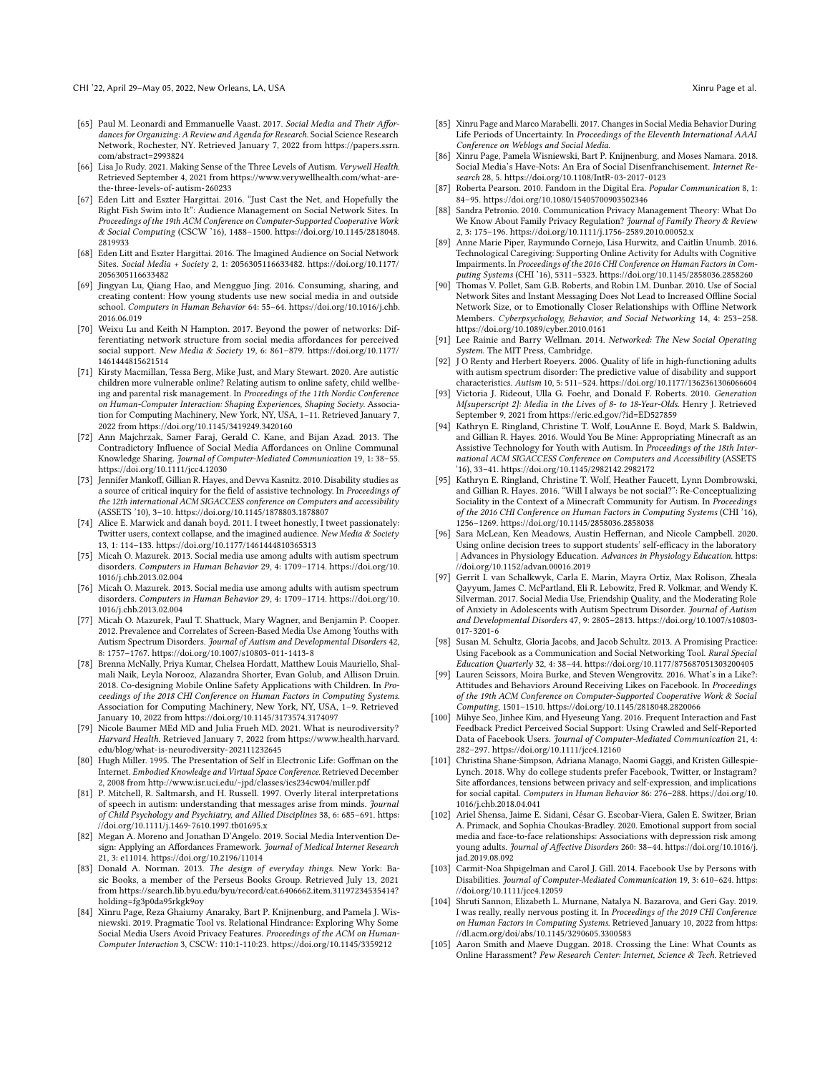CHI '22, April 29-May 05, 2022, New Orleans, LA, USA Xinru Page et al.

- <span id="page-19-7"></span>[65] Paul M. Leonardi and Emmanuelle Vaast. 2017. Social Media and Their Affordances for Organizing: A Review and Agenda for Research. Social Science Research Network, Rochester, NY. Retrieved January 7, 2022 from [https://papers.ssrn.](https://papers.ssrn.com/abstract=2993824) [com/abstract=2993824](https://papers.ssrn.com/abstract=2993824)
- <span id="page-19-21"></span>[66] Lisa Jo Rudy. 2021. Making Sense of the Three Levels of Autism. Verywell Health. Retrieved September 4, 2021 from [https://www.verywellhealth.com/what-are](https://www.verywellhealth.com/what-are-the-three-levels-of-autism-260233)[the-three-levels-of-autism-260233](https://www.verywellhealth.com/what-are-the-three-levels-of-autism-260233)
- <span id="page-19-10"></span>[67] Eden Litt and Eszter Hargittai. 2016. "Just Cast the Net, and Hopefully the Right Fish Swim into It": Audience Management on Social Network Sites. In Proceedings of the 19th ACM Conference on Computer-Supported Cooperative Work & Social Computing (CSCW '16), 1488–1500. [https://doi.org/10.1145/2818048.](https://doi.org/10.1145/2818048.2819933) [2819933](https://doi.org/10.1145/2818048.2819933)
- <span id="page-19-11"></span>[68] Eden Litt and Eszter Hargittai. 2016. The Imagined Audience on Social Network Sites. Social Media + Society 2, 1: 2056305116633482. [https://doi.org/10.1177/](https://doi.org/10.1177/2056305116633482) [2056305116633482](https://doi.org/10.1177/2056305116633482)
- <span id="page-19-6"></span>[69] Jingyan Lu, Qiang Hao, and Mengguo Jing. 2016. Consuming, sharing, and creating content: How young students use new social media in and outside school. Computers in Human Behavior 64: 55–64. [https://doi.org/10.1016/j.chb.](https://doi.org/10.1016/j.chb.2016.06.019) [2016.06.019](https://doi.org/10.1016/j.chb.2016.06.019)
- <span id="page-19-15"></span>[70] Weixu Lu and Keith N Hampton. 2017. Beyond the power of networks: Differentiating network structure from social media affordances for perceived social support. New Media & Society 19, 6: 861–879. [https://doi.org/10.1177/](https://doi.org/10.1177/1461444815621514) [1461444815621514](https://doi.org/10.1177/1461444815621514)
- <span id="page-19-25"></span>[71] Kirsty Macmillan, Tessa Berg, Mike Just, and Mary Stewart. 2020. Are autistic children more vulnerable online? Relating autism to online safety, child wellbeing and parental risk management. In Proceedings of the 11th Nordic Conference on Human-Computer Interaction: Shaping Experiences, Shaping Society. Association for Computing Machinery, New York, NY, USA, 1–11. Retrieved January 7, 2022 from<https://doi.org/10.1145/3419249.3420160>
- <span id="page-19-4"></span>[72] Ann Majchrzak, Samer Faraj, Gerald C. Kane, and Bijan Azad, 2013. The Contradictory Influence of Social Media Affordances on Online Communal Knowledge Sharing. Journal of Computer-Mediated Communication 19, 1: 38–55. <https://doi.org/10.1111/jcc4.12030>
- <span id="page-19-22"></span>[73] Jennifer Mankoff, Gillian R. Hayes, and Devva Kasnitz. 2010. Disability studies as a source of critical inquiry for the field of assistive technology. In Proceedings of the 12th international ACM SIGACCESS conference on Computers and accessibility (ASSETS '10), 3–10.<https://doi.org/10.1145/1878803.1878807>
- <span id="page-19-9"></span>[74] Alice E. Marwick and danah boyd. 2011. I tweet honestly, I tweet passionately: Twitter users, context collapse, and the imagined audience. New Media & Society 13, 1: 114–133.<https://doi.org/10.1177/1461444810365313>
- <span id="page-19-1"></span>[75] Micah O. Mazurek. 2013. Social media use among adults with autism spectrum disorders. Computers in Human Behavior 29, 4: 1709–1714. [https://doi.org/10.](https://doi.org/10.1016/j.chb.2013.02.004) [1016/j.chb.2013.02.004](https://doi.org/10.1016/j.chb.2013.02.004)
- <span id="page-19-31"></span>[76] Micah O. Mazurek. 2013. Social media use among adults with autism spectrum disorders. Computers in Human Behavior 29, 4: 1709–1714. [https://doi.org/10.](https://doi.org/10.1016/j.chb.2013.02.004) [1016/j.chb.2013.02.004](https://doi.org/10.1016/j.chb.2013.02.004)
- <span id="page-19-24"></span>[77] Micah O. Mazurek, Paul T. Shattuck, Mary Wagner, and Benjamin P. Cooper. 2012. Prevalence and Correlates of Screen-Based Media Use Among Youths with Autism Spectrum Disorders. Journal of Autism and Developmental Disorders 42, 8: 1757–1767.<https://doi.org/10.1007/s10803-011-1413-8>
- <span id="page-19-40"></span>[78] Brenna McNally, Priya Kumar, Chelsea Hordatt, Matthew Louis Mauriello, Shalmali Naik, Leyla Norooz, Alazandra Shorter, Evan Golub, and Allison Druin. 2018. Co-designing Mobile Online Safety Applications with Children. In Proceedings of the 2018 CHI Conference on Human Factors in Computing Systems. Association for Computing Machinery, New York, NY, USA, 1–9. Retrieved January 10, 2022 from<https://doi.org/10.1145/3173574.3174097>
- <span id="page-19-20"></span>[79] Nicole Baumer MEd MD and Julia Frueh MD. 2021. What is neurodiversity? Harvard Health. Retrieved January 7, 2022 from [https://www.health.harvard.](https://www.health.harvard.edu/blog/what-is-neurodiversity-202111232645) [edu/blog/what-is-neurodiversity-202111232645](https://www.health.harvard.edu/blog/what-is-neurodiversity-202111232645)
- <span id="page-19-8"></span>[80] Hugh Miller. 1995. The Presentation of Self in Electronic Life: Goffman on the Internet. Embodied Knowledge and Virtual Space Conference. Retrieved December 2, 2008 from<http://www.isr.uci.edu/~jpd/classes/ics234cw04/miller.pdf>
- <span id="page-19-35"></span>[81] P. Mitchell, R. Saltmarsh, and H. Russell. 1997. Overly literal interpretations of speech in autism: understanding that messages arise from minds. Journal of Child Psychology and Psychiatry, and Allied Disciplines 38, 6: 685–691. [https:](https://doi.org/10.1111/j.1469-7610.1997.tb01695.x) [//doi.org/10.1111/j.1469-7610.1997.tb01695.x](https://doi.org/10.1111/j.1469-7610.1997.tb01695.x)
- <span id="page-19-2"></span>[82] Megan A. Moreno and Jonathan D'Angelo. 2019. Social Media Intervention Design: Applying an Affordances Framework. Journal of Medical Internet Research 21, 3: e11014.<https://doi.org/10.2196/11014>
- <span id="page-19-3"></span>[83] Donald A. Norman. 2013. The design of everyday things. New York: Basic Books, a member of the Perseus Books Group. Retrieved July 13, 2021 from [https://search.lib.byu.edu/byu/record/cat.6406662.item.31197234535414?](https://search.lib.byu.edu/byu/record/cat.6406662.item.31197234535414?holding=fg3p0da95rkgk9oy) [holding=fg3p0da95rkgk9oy](https://search.lib.byu.edu/byu/record/cat.6406662.item.31197234535414?holding=fg3p0da95rkgk9oy)
- <span id="page-19-5"></span>[84] Xinru Page, Reza Ghaiumy Anaraky, Bart P. Knijnenburg, and Pamela J. Wisniewski. 2019. Pragmatic Tool vs. Relational Hindrance: Exploring Why Some Social Media Users Avoid Privacy Features. Proceedings of the ACM on Human-Computer Interaction 3, CSCW: 110:1-110:23.<https://doi.org/10.1145/3359212>
- <span id="page-19-18"></span>[85] Xinru Page and Marco Marabelli. 2017. Changes in Social Media Behavior During Life Periods of Uncertainty. In Proceedings of the Eleventh International AAAI Conference on Weblogs and Social Media.
- <span id="page-19-38"></span>[86] Xinru Page, Pamela Wisniewski, Bart P. Knijnenburg, and Moses Namara. 2018. Social Media's Have-Nots: An Era of Social Disenfranchisement. Internet Research 28, 5.<https://doi.org/10.1108/IntR-03-2017-0123>
- <span id="page-19-36"></span>[87] Roberta Pearson. 2010. Fandom in the Digital Era. Popular Communication 8, 1: 84–95.<https://doi.org/10.1080/15405700903502346>
- <span id="page-19-17"></span>[88] Sandra Petronio. 2010. Communication Privacy Management Theory: What Do We Know About Family Privacy Regulation? Journal of Family Theory & Review 2, 3: 175–196.<https://doi.org/10.1111/j.1756-2589.2010.00052.x>
- <span id="page-19-34"></span>[89] Anne Marie Piper, Raymundo Cornejo, Lisa Hurwitz, and Caitlin Unumb. 2016. Technological Caregiving: Supporting Online Activity for Adults with Cognitive Impairments. In Proceedings of the 2016 CHI Conference on Human Factors in Computing Systems (CHI '16), 5311–5323.<https://doi.org/10.1145/2858036.2858260>
- <span id="page-19-14"></span>[90] Thomas V. Pollet, Sam G.B. Roberts, and Robin I.M. Dunbar. 2010. Use of Social Network Sites and Instant Messaging Does Not Lead to Increased Offline Social Network Size, or to Emotionally Closer Relationships with Offline Network Members. Cyberpsychology, Behavior, and Social Networking 14, 4: 253–258. <https://doi.org/10.1089/cyber.2010.0161>
- <span id="page-19-13"></span>[91] Lee Rainie and Barry Wellman. 2014. Networked: The New Social Operating System. The MIT Press, Cambridge.
- <span id="page-19-28"></span>[92] J O Renty and Herbert Roeyers. 2006. Quality of life in high-functioning adults with autism spectrum disorder: The predictive value of disability and support characteristics. Autism 10, 5: 511–524.<https://doi.org/10.1177/1362361306066604>
- <span id="page-19-29"></span>[93] Victoria J. Rideout, Ulla G. Foehr, and Donald F. Roberts. 2010. Generation M[superscript 2]: Media in the Lives of 8- to 18-Year-Olds. Henry J. Retrieved September 9, 2021 from<https://eric.ed.gov/?id=ED527859>
- <span id="page-19-26"></span>[94] Kathryn E. Ringland, Christine T. Wolf, LouAnne E. Boyd, Mark S. Baldwin, and Gillian R. Hayes. 2016. Would You Be Mine: Appropriating Minecraft as an Assistive Technology for Youth with Autism. In Proceedings of the 18th International ACM SIGACCESS Conference on Computers and Accessibility (ASSETS '16), 33–41.<https://doi.org/10.1145/2982142.2982172>
- <span id="page-19-27"></span>[95] Kathryn E. Ringland, Christine T. Wolf, Heather Faucett, Lynn Dombrowski, and Gillian R. Hayes. 2016. "Will I always be not social?": Re-Conceptualizing Sociality in the Context of a Minecraft Community for Autism. In Proceedings of the 2016 CHI Conference on Human Factors in Computing Systems (CHI '16), 1256–1269.<https://doi.org/10.1145/2858036.2858038>
- <span id="page-19-39"></span>[96] Sara McLean, Ken Meadows, Austin Heffernan, and Nicole Campbell. 2020. Using online decision trees to support students' self-efficacy in the laboratory | Advances in Physiology Education. Advances in Physiology Education. [https:](https://doi.org/10.1152/advan.00016.2019) [//doi.org/10.1152/advan.00016.2019](https://doi.org/10.1152/advan.00016.2019)
- <span id="page-19-30"></span>[97] Gerrit I. van Schalkwyk, Carla E. Marin, Mayra Ortiz, Max Rolison, Zheala Qayyum, James C. McPartland, Eli R. Lebowitz, Fred R. Volkmar, and Wendy K. Silverman. 2017. Social Media Use, Friendship Quality, and the Moderating Role of Anxiety in Adolescents with Autism Spectrum Disorder. Journal of Autism and Developmental Disorders 47, 9: 2805–2813. [https://doi.org/10.1007/s10803-](https://doi.org/10.1007/s10803-017-3201-6) [017-3201-6](https://doi.org/10.1007/s10803-017-3201-6)
- <span id="page-19-32"></span>[98] Susan M. Schultz, Gloria Jacobs, and Jacob Schultz. 2013. A Promising Practice: Using Facebook as a Communication and Social Networking Tool. Rural Special Education Quarterly 32, 4: 38–44.<https://doi.org/10.1177/875687051303200405>
- <span id="page-19-16"></span>[99] Lauren Scissors, Moira Burke, and Steven Wengrovitz. 2016. What's in a Like?: Attitudes and Behaviors Around Receiving Likes on Facebook. In Proceedings of the 19th ACM Conference on Computer-Supported Cooperative Work & Social Computing, 1501–1510.<https://doi.org/10.1145/2818048.2820066>
- <span id="page-19-19"></span>[100] Mihye Seo, Jinhee Kim, and Hyeseung Yang. 2016. Frequent Interaction and Fast Feedback Predict Perceived Social Support: Using Crawled and Self-Reported Data of Facebook Users. Journal of Computer-Mediated Communication 21, 4: 282–297.<https://doi.org/10.1111/jcc4.12160>
- <span id="page-19-12"></span>[101] Christina Shane-Simpson, Adriana Manago, Naomi Gaggi, and Kristen Gillespie-Lynch. 2018. Why do college students prefer Facebook, Twitter, or Instagram? Site affordances, tensions between privacy and self-expression, and implications for social capital. Computers in Human Behavior 86: 276–288. [https://doi.org/10.](https://doi.org/10.1016/j.chb.2018.04.041) [1016/j.chb.2018.04.041](https://doi.org/10.1016/j.chb.2018.04.041)
- <span id="page-19-0"></span>[102] Ariel Shensa, Jaime E. Sidani, César G. Escobar-Viera, Galen E. Switzer, Brian A. Primack, and Sophia Choukas-Bradley. 2020. Emotional support from social media and face-to-face relationships: Associations with depression risk among young adults. Journal of Affective Disorders 260: 38–44. [https://doi.org/10.1016/j.](https://doi.org/10.1016/j.jad.2019.08.092) [jad.2019.08.092](https://doi.org/10.1016/j.jad.2019.08.092)
- <span id="page-19-33"></span>[103] Carmit-Noa Shpigelman and Carol J. Gill. 2014. Facebook Use by Persons with Disabilities. Journal of Computer-Mediated Communication 19, 3: 610–624. [https:](https://doi.org/10.1111/jcc4.12059) [//doi.org/10.1111/jcc4.12059](https://doi.org/10.1111/jcc4.12059)
- <span id="page-19-37"></span>[104] Shruti Sannon, Elizabeth L. Murnane, Natalya N. Bazarova, and Geri Gay. 2019. I was really, really nervous posting it. In Proceedings of the 2019 CHI Conference on Human Factors in Computing Systems. Retrieved January 10, 2022 from [https:](https://dl.acm.org/doi/abs/10.1145/3290605.3300583) [//dl.acm.org/doi/abs/10.1145/3290605.3300583](https://dl.acm.org/doi/abs/10.1145/3290605.3300583)
- <span id="page-19-23"></span>[105] Aaron Smith and Maeve Duggan. 2018. Crossing the Line: What Counts as Online Harassment? Pew Research Center: Internet, Science & Tech. Retrieved